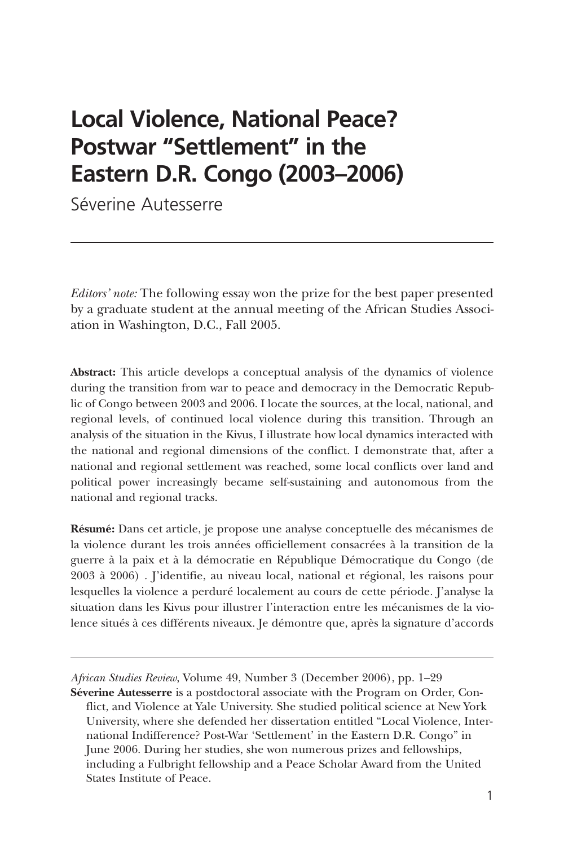# **Local Violence, National Peace? Postwar "Settlement" in the Eastern D.R. Congo (2003–2006)**

Séverine Autesserre

*Editors' note:* The following essay won the prize for the best paper presented by a graduate student at the annual meeting of the African Studies Association in Washington, D.C., Fall 2005.

**Abstract:** This article develops a conceptual analysis of the dynamics of violence during the transition from war to peace and democracy in the Democratic Republic of Congo between 2003 and 2006. I locate the sources, at the local, national, and regional levels, of continued local violence during this transition. Through an analysis of the situation in the Kivus, I illustrate how local dynamics interacted with the national and regional dimensions of the conflict. I demonstrate that, after a national and regional settlement was reached, some local conflicts over land and political power increasingly became self-sustaining and autonomous from the national and regional tracks.

**Résumé:** Dans cet article, je propose une analyse conceptuelle des mécanismes de la violence durant les trois années officiellement consacrées à la transition de la guerre à la paix et à la démocratie en République Démocratique du Congo (de 2003 à 2006) . J'identifie, au niveau local, national et régional, les raisons pour lesquelles la violence a perduré localement au cours de cette période. J'analyse la situation dans les Kivus pour illustrer l'interaction entre les mécanismes de la violence situés à ces différents niveaux. Je démontre que, après la signature d'accords

*African Studies Review*, Volume 49, Number 3 (December 2006), pp. 1–29 **Séverine Autesserre** is a postdoctoral associate with the Program on Order, Conflict, and Violence at Yale University. She studied political science at New York University, where she defended her dissertation entitled "Local Violence, International Indifference? Post-War 'Settlement' in the Eastern D.R. Congo" in June 2006. During her studies, she won numerous prizes and fellowships, including a Fulbright fellowship and a Peace Scholar Award from the United States Institute of Peace.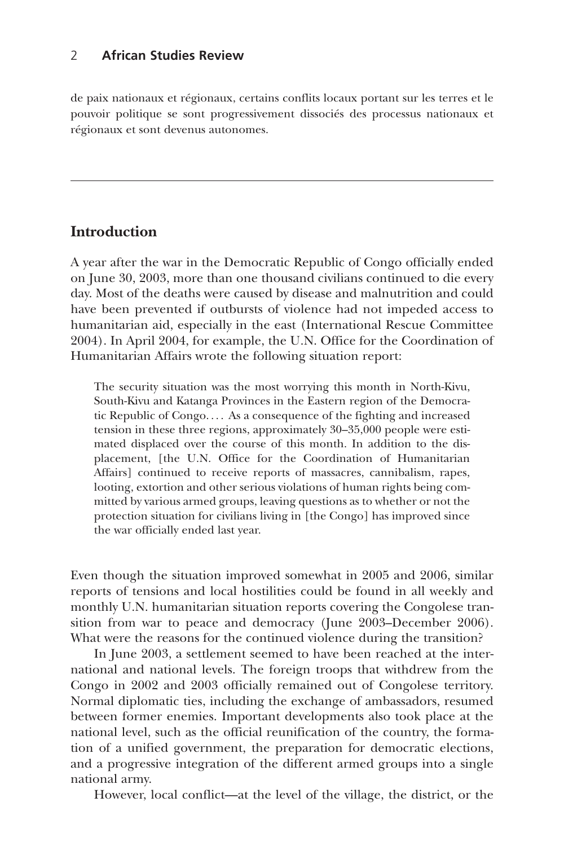de paix nationaux et régionaux, certains conflits locaux portant sur les terres et le pouvoir politique se sont progressivement dissociés des processus nationaux et régionaux et sont devenus autonomes.

# **Introduction**

A year after the war in the Democratic Republic of Congo officially ended on June 30, 2003, more than one thousand civilians continued to die every day. Most of the deaths were caused by disease and malnutrition and could have been prevented if outbursts of violence had not impeded access to humanitarian aid, especially in the east (International Rescue Committee 2004). In April 2004, for example, the U.N. Office for the Coordination of Humanitarian Affairs wrote the following situation report:

The security situation was the most worrying this month in North-Kivu, South-Kivu and Katanga Provinces in the Eastern region of the Democratic Republic of Congo. . . . As a consequence of the fighting and increased tension in these three regions, approximately 30–35,000 people were estimated displaced over the course of this month. In addition to the displacement, [the U.N. Office for the Coordination of Humanitarian Affairs] continued to receive reports of massacres, cannibalism, rapes, looting, extortion and other serious violations of human rights being committed by various armed groups, leaving questions as to whether or not the protection situation for civilians living in [the Congo] has improved since the war officially ended last year.

Even though the situation improved somewhat in 2005 and 2006, similar reports of tensions and local hostilities could be found in all weekly and monthly U.N. humanitarian situation reports covering the Congolese transition from war to peace and democracy (June 2003–December 2006). What were the reasons for the continued violence during the transition?

In June 2003, a settlement seemed to have been reached at the international and national levels. The foreign troops that withdrew from the Congo in 2002 and 2003 officially remained out of Congolese territory. Normal diplomatic ties, including the exchange of ambassadors, resumed between former enemies. Important developments also took place at the national level, such as the official reunification of the country, the formation of a unified government, the preparation for democratic elections, and a progressive integration of the different armed groups into a single national army.

However, local conflict—at the level of the village, the district, or the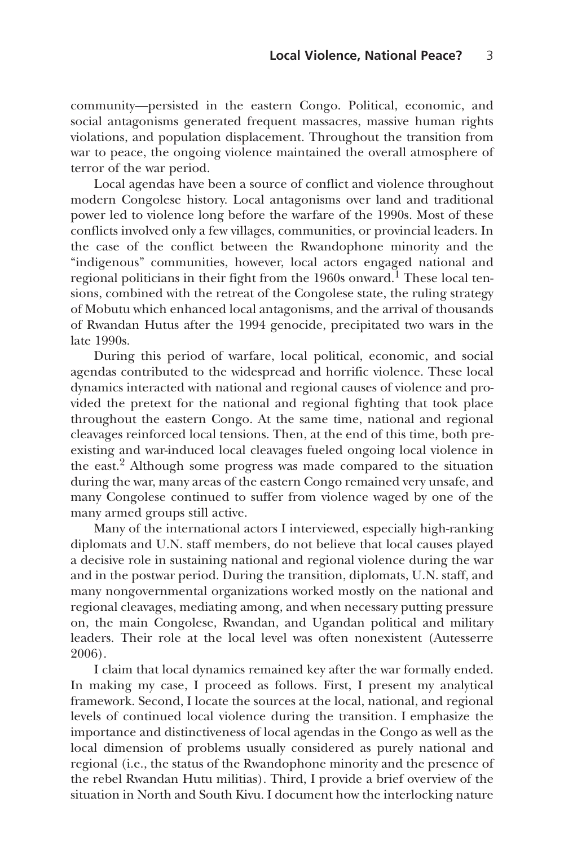community—persisted in the eastern Congo. Political, economic, and social antagonisms generated frequent massacres, massive human rights violations, and population displacement. Throughout the transition from war to peace, the ongoing violence maintained the overall atmosphere of terror of the war period.

Local agendas have been a source of conflict and violence throughout modern Congolese history. Local antagonisms over land and traditional power led to violence long before the warfare of the 1990s. Most of these conflicts involved only a few villages, communities, or provincial leaders. In the case of the conflict between the Rwandophone minority and the "indigenous" communities, however, local actors engaged national and regional politicians in their fight from the 1960s onward.<sup>1</sup> These local tensions, combined with the retreat of the Congolese state, the ruling strategy of Mobutu which enhanced local antagonisms, and the arrival of thousands of Rwandan Hutus after the 1994 genocide, precipitated two wars in the late 1990s.

During this period of warfare, local political, economic, and social agendas contributed to the widespread and horrific violence. These local dynamics interacted with national and regional causes of violence and provided the pretext for the national and regional fighting that took place throughout the eastern Congo. At the same time, national and regional cleavages reinforced local tensions. Then, at the end of this time, both preexisting and war-induced local cleavages fueled ongoing local violence in the east.2 Although some progress was made compared to the situation during the war, many areas of the eastern Congo remained very unsafe, and many Congolese continued to suffer from violence waged by one of the many armed groups still active.

Many of the international actors I interviewed, especially high-ranking diplomats and U.N. staff members, do not believe that local causes played a decisive role in sustaining national and regional violence during the war and in the postwar period. During the transition, diplomats, U.N. staff, and many nongovernmental organizations worked mostly on the national and regional cleavages, mediating among, and when necessary putting pressure on, the main Congolese, Rwandan, and Ugandan political and military leaders. Their role at the local level was often nonexistent (Autesserre 2006).

I claim that local dynamics remained key after the war formally ended. In making my case, I proceed as follows. First, I present my analytical framework. Second, I locate the sources at the local, national, and regional levels of continued local violence during the transition. I emphasize the importance and distinctiveness of local agendas in the Congo as well as the local dimension of problems usually considered as purely national and regional (i.e., the status of the Rwandophone minority and the presence of the rebel Rwandan Hutu militias). Third, I provide a brief overview of the situation in North and South Kivu. I document how the interlocking nature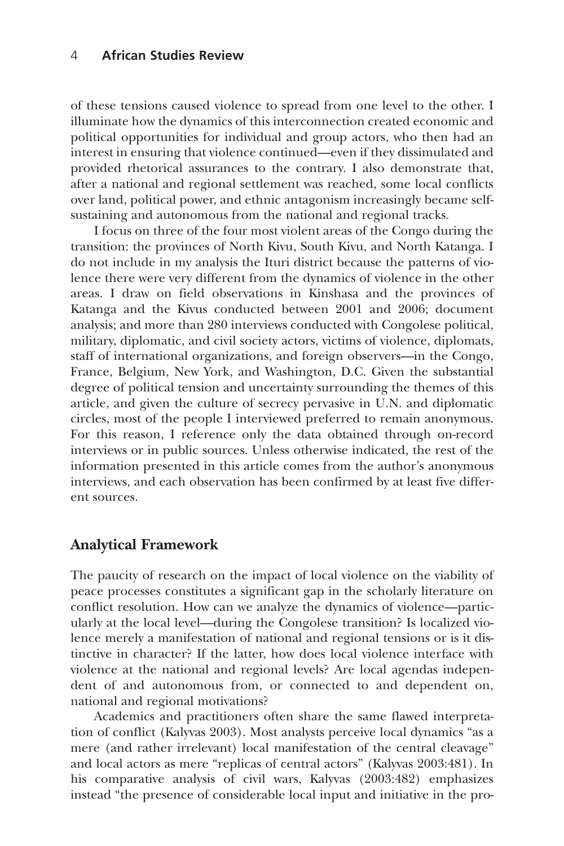of these tensions caused violence to spread from one level to the other. I illuminate how the dynamics of this interconnection created economic and political opportunities for individual and group actors, who then had an interest in ensuring that violence continued—even if they dissimulated and provided rhetorical assurances to the contrary. I also demonstrate that, after a national and regional settlement was reached, some local conflicts over land, political power, and ethnic antagonism increasingly became selfsustaining and autonomous from the national and regional tracks.

I focus on three of the four most violent areas of the Congo during the transition: the provinces of North Kivu, South Kivu, and North Katanga. I do not include in my analysis the Ituri district because the patterns of violence there were very different from the dynamics of violence in the other areas. I draw on field observations in Kinshasa and the provinces of Katanga and the Kivus conducted between 2001 and 2006; document analysis; and more than 280 interviews conducted with Congolese political, military, diplomatic, and civil society actors, victims of violence, diplomats, staff of international organizations, and foreign observers—in the Congo, France, Belgium, New York, and Washington, D.C. Given the substantial degree of political tension and uncertainty surrounding the themes of this article, and given the culture of secrecy pervasive in U.N. and diplomatic circles, most of the people I interviewed preferred to remain anonymous. For this reason, I reference only the data obtained through on-record interviews or in public sources. Unless otherwise indicated, the rest of the information presented in this article comes from the author's anonymous interviews, and each observation has been confirmed by at least five different sources.

# **Analytical Framework**

The paucity of research on the impact of local violence on the viability of peace processes constitutes a significant gap in the scholarly literature on conflict resolution. How can we analyze the dynamics of violence—particularly at the local level—during the Congolese transition? Is localized violence merely a manifestation of national and regional tensions or is it distinctive in character? If the latter, how does local violence interface with violence at the national and regional levels? Are local agendas independent of and autonomous from, or connected to and dependent on, national and regional motivations?

Academics and practitioners often share the same flawed interpretation of conflict (Kalyvas 2003). Most analysts perceive local dynamics "as a mere (and rather irrelevant) local manifestation of the central cleavage" and local actors as mere "replicas of central actors" (Kalyvas 2003:481). In his comparative analysis of civil wars, Kalyvas (2003:482) emphasizes instead "the presence of considerable local input and initiative in the pro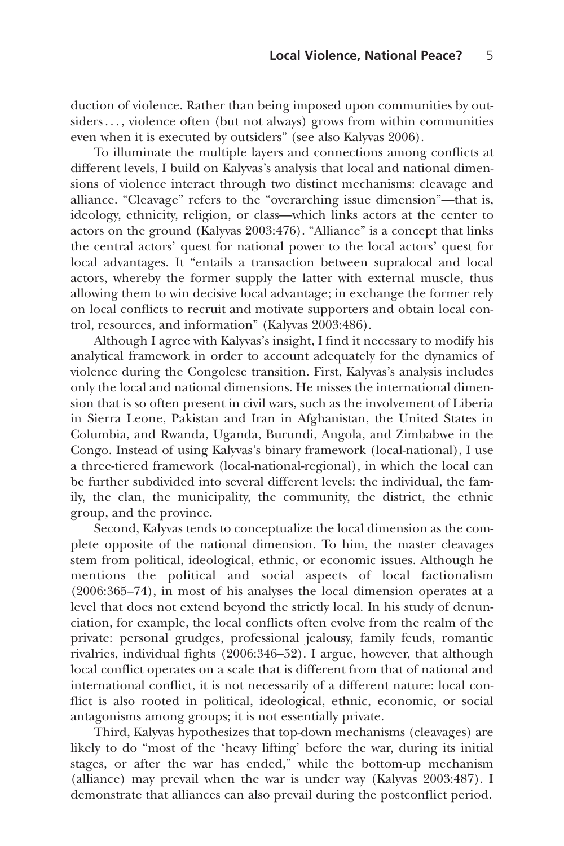duction of violence. Rather than being imposed upon communities by outsiders ..., violence often (but not always) grows from within communities even when it is executed by outsiders" (see also Kalyvas 2006).

To illuminate the multiple layers and connections among conflicts at different levels, I build on Kalyvas's analysis that local and national dimensions of violence interact through two distinct mechanisms: cleavage and alliance. "Cleavage" refers to the "overarching issue dimension"—that is, ideology, ethnicity, religion, or class—which links actors at the center to actors on the ground (Kalyvas 2003:476). "Alliance" is a concept that links the central actors' quest for national power to the local actors' quest for local advantages. It "entails a transaction between supralocal and local actors, whereby the former supply the latter with external muscle, thus allowing them to win decisive local advantage; in exchange the former rely on local conflicts to recruit and motivate supporters and obtain local control, resources, and information" (Kalyvas 2003:486).

Although I agree with Kalyvas's insight, I find it necessary to modify his analytical framework in order to account adequately for the dynamics of violence during the Congolese transition. First, Kalyvas's analysis includes only the local and national dimensions. He misses the international dimension that is so often present in civil wars, such as the involvement of Liberia in Sierra Leone, Pakistan and Iran in Afghanistan, the United States in Columbia, and Rwanda, Uganda, Burundi, Angola, and Zimbabwe in the Congo. Instead of using Kalyvas's binary framework (local-national), I use a three-tiered framework (local-national-regional), in which the local can be further subdivided into several different levels: the individual, the family, the clan, the municipality, the community, the district, the ethnic group, and the province.

Second, Kalyvas tends to conceptualize the local dimension as the complete opposite of the national dimension. To him, the master cleavages stem from political, ideological, ethnic, or economic issues. Although he mentions the political and social aspects of local factionalism (2006:365–74), in most of his analyses the local dimension operates at a level that does not extend beyond the strictly local. In his study of denunciation, for example, the local conflicts often evolve from the realm of the private: personal grudges, professional jealousy, family feuds, romantic rivalries, individual fights (2006:346–52). I argue, however, that although local conflict operates on a scale that is different from that of national and international conflict, it is not necessarily of a different nature: local conflict is also rooted in political, ideological, ethnic, economic, or social antagonisms among groups; it is not essentially private.

Third, Kalyvas hypothesizes that top-down mechanisms (cleavages) are likely to do "most of the 'heavy lifting' before the war, during its initial stages, or after the war has ended," while the bottom-up mechanism (alliance) may prevail when the war is under way (Kalyvas 2003:487). I demonstrate that alliances can also prevail during the postconflict period.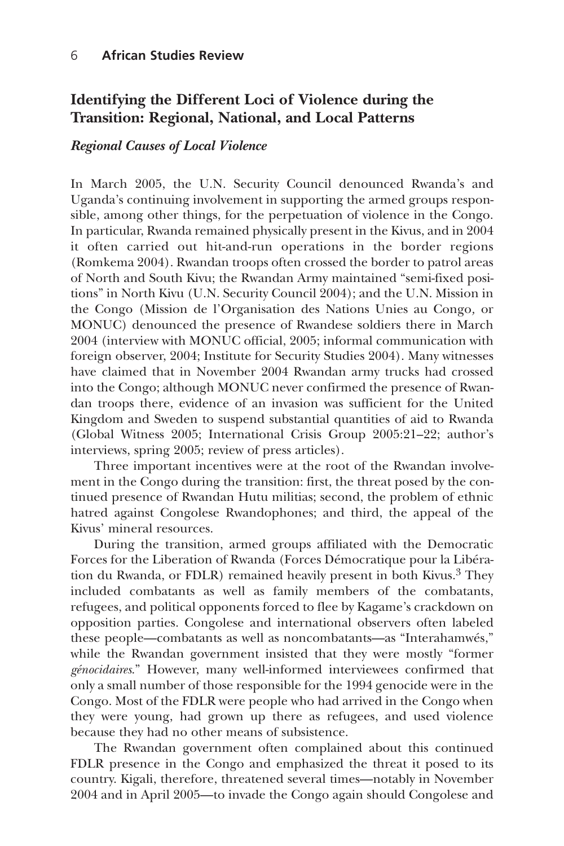# **Identifying the Different Loci of Violence during the Transition: Regional, National, and Local Patterns**

## *Regional Causes of Local Violence*

In March 2005, the U.N. Security Council denounced Rwanda's and Uganda's continuing involvement in supporting the armed groups responsible, among other things, for the perpetuation of violence in the Congo. In particular, Rwanda remained physically present in the Kivus, and in 2004 it often carried out hit-and-run operations in the border regions (Romkema 2004). Rwandan troops often crossed the border to patrol areas of North and South Kivu; the Rwandan Army maintained "semi-fixed positions" in North Kivu (U.N. Security Council 2004); and the U.N. Mission in the Congo (Mission de l'Organisation des Nations Unies au Congo*,* or MONUC) denounced the presence of Rwandese soldiers there in March 2004 (interview with MONUC official, 2005; informal communication with foreign observer, 2004; Institute for Security Studies 2004). Many witnesses have claimed that in November 2004 Rwandan army trucks had crossed into the Congo; although MONUC never confirmed the presence of Rwandan troops there, evidence of an invasion was sufficient for the United Kingdom and Sweden to suspend substantial quantities of aid to Rwanda (Global Witness 2005; International Crisis Group 2005:21–22; author's interviews, spring 2005; review of press articles).

Three important incentives were at the root of the Rwandan involvement in the Congo during the transition: first, the threat posed by the continued presence of Rwandan Hutu militias; second, the problem of ethnic hatred against Congolese Rwandophones; and third, the appeal of the Kivus' mineral resources.

During the transition, armed groups affiliated with the Democratic Forces for the Liberation of Rwanda (Forces Démocratique pour la Libération du Rwanda, or FDLR) remained heavily present in both Kivus.<sup>3</sup> They included combatants as well as family members of the combatants, refugees, and political opponents forced to flee by Kagame's crackdown on opposition parties. Congolese and international observers often labeled these people—combatants as well as noncombatants—as "Interahamwés," while the Rwandan government insisted that they were mostly "former *génocidaires*." However, many well-informed interviewees confirmed that only a small number of those responsible for the 1994 genocide were in the Congo. Most of the FDLR were people who had arrived in the Congo when they were young, had grown up there as refugees, and used violence because they had no other means of subsistence.

The Rwandan government often complained about this continued FDLR presence in the Congo and emphasized the threat it posed to its country. Kigali, therefore, threatened several times—notably in November 2004 and in April 2005—to invade the Congo again should Congolese and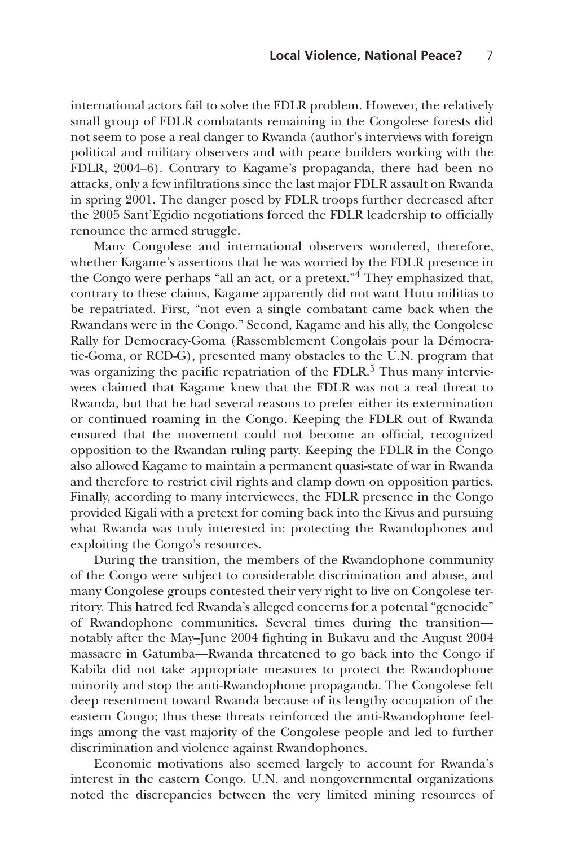international actors fail to solve the FDLR problem. However, the relatively small group of FDLR combatants remaining in the Congolese forests did not seem to pose a real danger to Rwanda (author's interviews with foreign political and military observers and with peace builders working with the FDLR, 2004–6). Contrary to Kagame's propaganda, there had been no attacks, only a few infiltrations since the last major FDLR assault on Rwanda in spring 2001. The danger posed by FDLR troops further decreased after the 2005 Sant'Egidio negotiations forced the FDLR leadership to officially renounce the armed struggle.

Many Congolese and international observers wondered, therefore, whether Kagame's assertions that he was worried by the FDLR presence in the Congo were perhaps "all an act, or a pretext." $\frac{4}{3}$  They emphasized that, contrary to these claims, Kagame apparently did not want Hutu militias to be repatriated. First, "not even a single combatant came back when the Rwandans were in the Congo." Second, Kagame and his ally, the Congolese Rally for Democracy-Goma (Rassemblement Congolais pour la Démocratie-Goma, or RCD-G), presented many obstacles to the U.N. program that was organizing the pacific repatriation of the FDLR.<sup>5</sup> Thus many interviewees claimed that Kagame knew that the FDLR was not a real threat to Rwanda, but that he had several reasons to prefer either its extermination or continued roaming in the Congo. Keeping the FDLR out of Rwanda ensured that the movement could not become an official, recognized opposition to the Rwandan ruling party. Keeping the FDLR in the Congo also allowed Kagame to maintain a permanent quasi-state of war in Rwanda and therefore to restrict civil rights and clamp down on opposition parties. Finally, according to many interviewees, the FDLR presence in the Congo provided Kigali with a pretext for coming back into the Kivus and pursuing what Rwanda was truly interested in: protecting the Rwandophones and exploiting the Congo's resources.

During the transition, the members of the Rwandophone community of the Congo were subject to considerable discrimination and abuse, and many Congolese groups contested their very right to live on Congolese territory. This hatred fed Rwanda's alleged concerns for a potental "genocide" of Rwandophone communities. Several times during the transition notably after the May–June 2004 fighting in Bukavu and the August 2004 massacre in Gatumba—Rwanda threatened to go back into the Congo if Kabila did not take appropriate measures to protect the Rwandophone minority and stop the anti-Rwandophone propaganda. The Congolese felt deep resentment toward Rwanda because of its lengthy occupation of the eastern Congo; thus these threats reinforced the anti-Rwandophone feelings among the vast majority of the Congolese people and led to further discrimination and violence against Rwandophones.

Economic motivations also seemed largely to account for Rwanda's interest in the eastern Congo. U.N. and nongovernmental organizations noted the discrepancies between the very limited mining resources of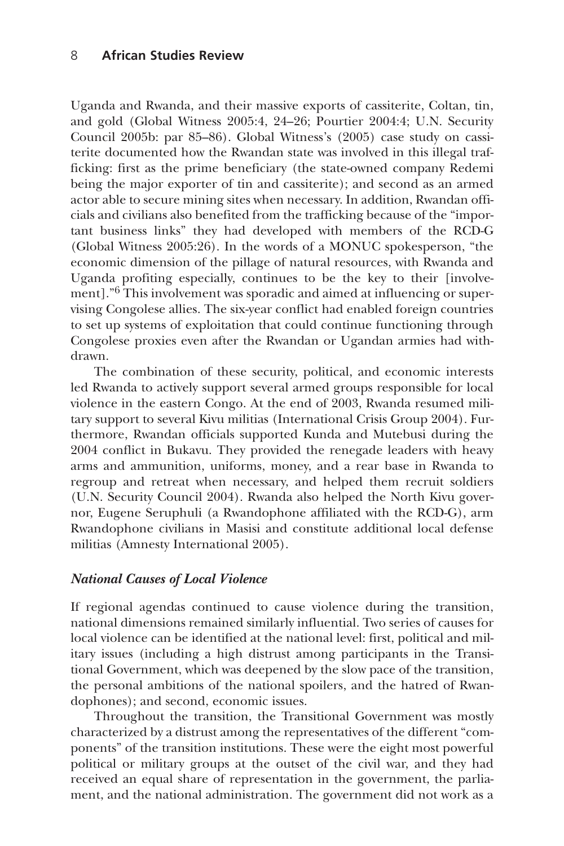Uganda and Rwanda, and their massive exports of cassiterite, Coltan, tin, and gold (Global Witness 2005:4, 24–26; Pourtier 2004:4; U.N. Security Council 2005b: par 85–86). Global Witness's (2005) case study on cassiterite documented how the Rwandan state was involved in this illegal trafficking: first as the prime beneficiary (the state-owned company Redemi being the major exporter of tin and cassiterite); and second as an armed actor able to secure mining sites when necessary. In addition, Rwandan officials and civilians also benefited from the trafficking because of the "important business links" they had developed with members of the RCD-G (Global Witness 2005:26). In the words of a MONUC spokesperson, "the economic dimension of the pillage of natural resources, with Rwanda and Uganda profiting especially, continues to be the key to their [involvement]."<sup>6</sup> This involvement was sporadic and aimed at influencing or supervising Congolese allies. The six-year conflict had enabled foreign countries to set up systems of exploitation that could continue functioning through Congolese proxies even after the Rwandan or Ugandan armies had withdrawn.

The combination of these security, political, and economic interests led Rwanda to actively support several armed groups responsible for local violence in the eastern Congo. At the end of 2003, Rwanda resumed military support to several Kivu militias (International Crisis Group 2004). Furthermore, Rwandan officials supported Kunda and Mutebusi during the 2004 conflict in Bukavu. They provided the renegade leaders with heavy arms and ammunition, uniforms, money, and a rear base in Rwanda to regroup and retreat when necessary, and helped them recruit soldiers (U.N. Security Council 2004). Rwanda also helped the North Kivu governor, Eugene Seruphuli (a Rwandophone affiliated with the RCD-G), arm Rwandophone civilians in Masisi and constitute additional local defense militias (Amnesty International 2005).

#### *National Causes of Local Violence*

If regional agendas continued to cause violence during the transition, national dimensions remained similarly influential. Two series of causes for local violence can be identified at the national level: first, political and military issues (including a high distrust among participants in the Transitional Government, which was deepened by the slow pace of the transition, the personal ambitions of the national spoilers, and the hatred of Rwandophones); and second, economic issues.

Throughout the transition, the Transitional Government was mostly characterized by a distrust among the representatives of the different "components" of the transition institutions. These were the eight most powerful political or military groups at the outset of the civil war, and they had received an equal share of representation in the government, the parliament, and the national administration. The government did not work as a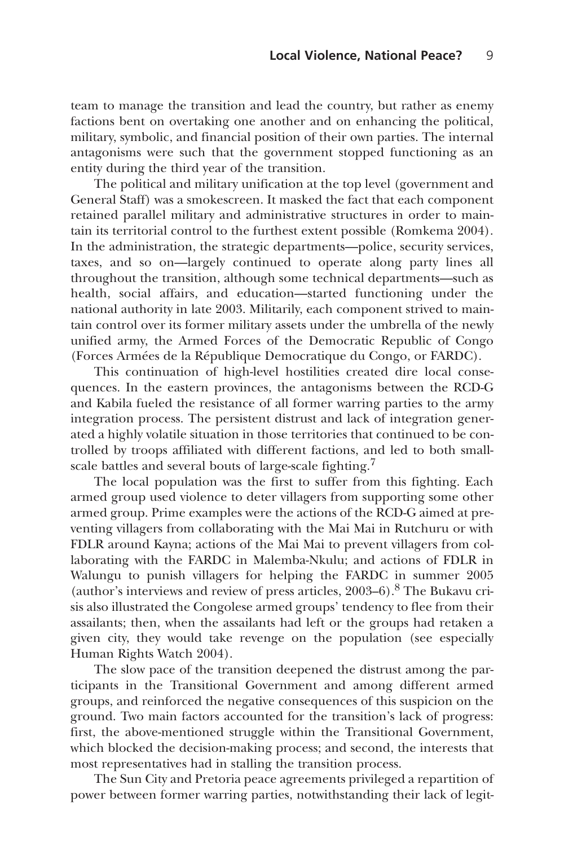team to manage the transition and lead the country, but rather as enemy factions bent on overtaking one another and on enhancing the political, military, symbolic, and financial position of their own parties. The internal antagonisms were such that the government stopped functioning as an entity during the third year of the transition.

The political and military unification at the top level (government and General Staff) was a smokescreen. It masked the fact that each component retained parallel military and administrative structures in order to maintain its territorial control to the furthest extent possible (Romkema 2004). In the administration, the strategic departments—police, security services, taxes, and so on—largely continued to operate along party lines all throughout the transition, although some technical departments—such as health, social affairs, and education—started functioning under the national authority in late 2003. Militarily, each component strived to maintain control over its former military assets under the umbrella of the newly unified army, the Armed Forces of the Democratic Republic of Congo (Forces Armées de la République Democratique du Congo, or FARDC).

This continuation of high-level hostilities created dire local consequences. In the eastern provinces, the antagonisms between the RCD-G and Kabila fueled the resistance of all former warring parties to the army integration process. The persistent distrust and lack of integration generated a highly volatile situation in those territories that continued to be controlled by troops affiliated with different factions, and led to both smallscale battles and several bouts of large-scale fighting.7

The local population was the first to suffer from this fighting. Each armed group used violence to deter villagers from supporting some other armed group. Prime examples were the actions of the RCD-G aimed at preventing villagers from collaborating with the Mai Mai in Rutchuru or with FDLR around Kayna; actions of the Mai Mai to prevent villagers from collaborating with the FARDC in Malemba-Nkulu; and actions of FDLR in Walungu to punish villagers for helping the FARDC in summer 2005 (author's interviews and review of press articles, 2003–6).8 The Bukavu crisis also illustrated the Congolese armed groups' tendency to flee from their assailants; then, when the assailants had left or the groups had retaken a given city, they would take revenge on the population (see especially Human Rights Watch 2004).

The slow pace of the transition deepened the distrust among the participants in the Transitional Government and among different armed groups, and reinforced the negative consequences of this suspicion on the ground. Two main factors accounted for the transition's lack of progress: first, the above-mentioned struggle within the Transitional Government, which blocked the decision-making process; and second, the interests that most representatives had in stalling the transition process.

The Sun City and Pretoria peace agreements privileged a repartition of power between former warring parties, notwithstanding their lack of legit-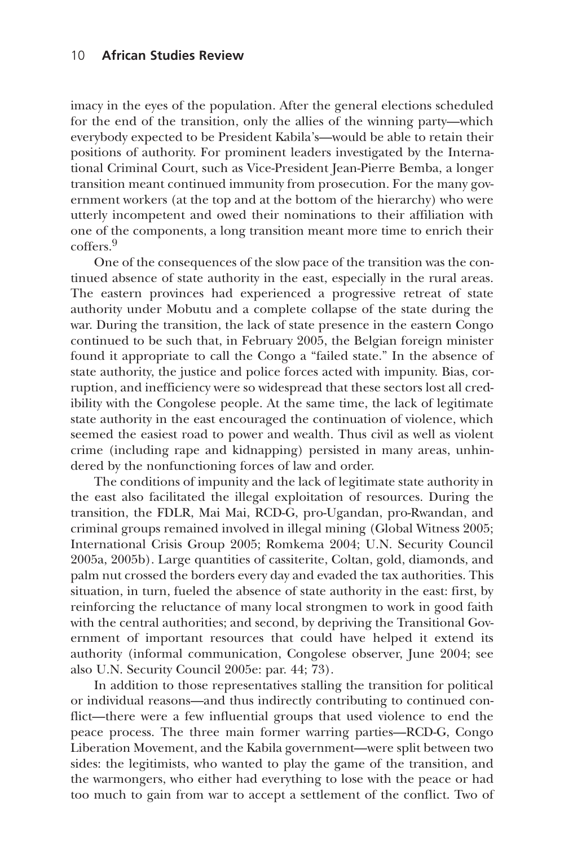imacy in the eyes of the population. After the general elections scheduled for the end of the transition, only the allies of the winning party—which everybody expected to be President Kabila's—would be able to retain their positions of authority. For prominent leaders investigated by the International Criminal Court, such as Vice-President Jean-Pierre Bemba, a longer transition meant continued immunity from prosecution. For the many government workers (at the top and at the bottom of the hierarchy) who were utterly incompetent and owed their nominations to their affiliation with one of the components, a long transition meant more time to enrich their coffers.<sup>9</sup>

One of the consequences of the slow pace of the transition was the continued absence of state authority in the east, especially in the rural areas. The eastern provinces had experienced a progressive retreat of state authority under Mobutu and a complete collapse of the state during the war. During the transition, the lack of state presence in the eastern Congo continued to be such that, in February 2005, the Belgian foreign minister found it appropriate to call the Congo a "failed state." In the absence of state authority, the justice and police forces acted with impunity. Bias, corruption, and inefficiency were so widespread that these sectors lost all credibility with the Congolese people. At the same time, the lack of legitimate state authority in the east encouraged the continuation of violence, which seemed the easiest road to power and wealth. Thus civil as well as violent crime (including rape and kidnapping) persisted in many areas, unhindered by the nonfunctioning forces of law and order.

The conditions of impunity and the lack of legitimate state authority in the east also facilitated the illegal exploitation of resources. During the transition, the FDLR, Mai Mai, RCD-G, pro-Ugandan, pro-Rwandan, and criminal groups remained involved in illegal mining (Global Witness 2005; International Crisis Group 2005; Romkema 2004; U.N. Security Council 2005a, 2005b). Large quantities of cassiterite, Coltan, gold, diamonds, and palm nut crossed the borders every day and evaded the tax authorities. This situation, in turn, fueled the absence of state authority in the east: first, by reinforcing the reluctance of many local strongmen to work in good faith with the central authorities; and second, by depriving the Transitional Government of important resources that could have helped it extend its authority (informal communication, Congolese observer, June 2004; see also U.N. Security Council 2005e: par. 44; 73).

In addition to those representatives stalling the transition for political or individual reasons—and thus indirectly contributing to continued conflict—there were a few influential groups that used violence to end the peace process. The three main former warring parties—RCD-G, Congo Liberation Movement, and the Kabila government—were split between two sides: the legitimists, who wanted to play the game of the transition, and the warmongers, who either had everything to lose with the peace or had too much to gain from war to accept a settlement of the conflict. Two of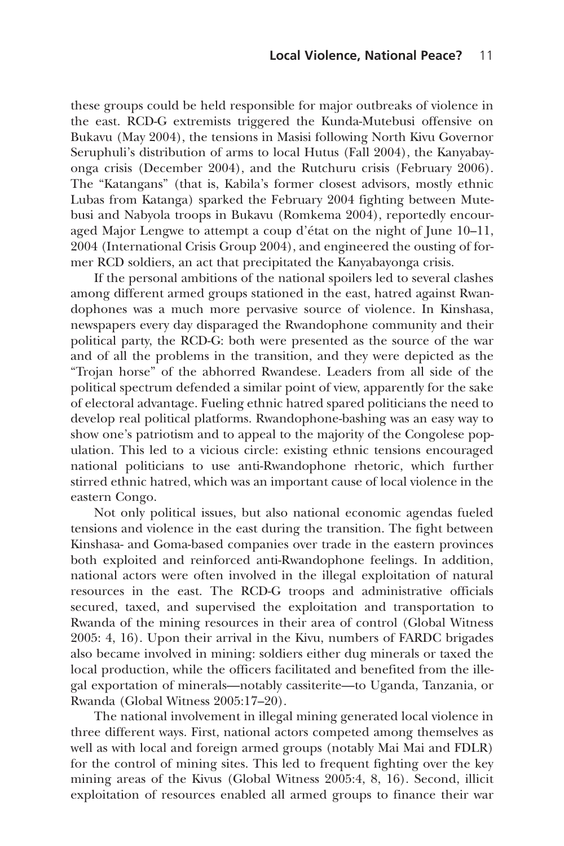these groups could be held responsible for major outbreaks of violence in the east. RCD-G extremists triggered the Kunda-Mutebusi offensive on Bukavu (May 2004), the tensions in Masisi following North Kivu Governor Seruphuli's distribution of arms to local Hutus (Fall 2004), the Kanyabayonga crisis (December 2004), and the Rutchuru crisis (February 2006). The "Katangans" (that is, Kabila's former closest advisors, mostly ethnic Lubas from Katanga) sparked the February 2004 fighting between Mutebusi and Nabyola troops in Bukavu (Romkema 2004), reportedly encouraged Major Lengwe to attempt a coup d'état on the night of June 10–11, 2004 (International Crisis Group 2004), and engineered the ousting of former RCD soldiers, an act that precipitated the Kanyabayonga crisis.

If the personal ambitions of the national spoilers led to several clashes among different armed groups stationed in the east, hatred against Rwandophones was a much more pervasive source of violence. In Kinshasa, newspapers every day disparaged the Rwandophone community and their political party, the RCD-G: both were presented as the source of the war and of all the problems in the transition, and they were depicted as the "Trojan horse" of the abhorred Rwandese. Leaders from all side of the political spectrum defended a similar point of view, apparently for the sake of electoral advantage. Fueling ethnic hatred spared politicians the need to develop real political platforms. Rwandophone-bashing was an easy way to show one's patriotism and to appeal to the majority of the Congolese population. This led to a vicious circle: existing ethnic tensions encouraged national politicians to use anti-Rwandophone rhetoric, which further stirred ethnic hatred, which was an important cause of local violence in the eastern Congo.

Not only political issues, but also national economic agendas fueled tensions and violence in the east during the transition. The fight between Kinshasa- and Goma-based companies over trade in the eastern provinces both exploited and reinforced anti-Rwandophone feelings. In addition, national actors were often involved in the illegal exploitation of natural resources in the east. The RCD-G troops and administrative officials secured, taxed, and supervised the exploitation and transportation to Rwanda of the mining resources in their area of control (Global Witness 2005: 4, 16). Upon their arrival in the Kivu, numbers of FARDC brigades also became involved in mining: soldiers either dug minerals or taxed the local production, while the officers facilitated and benefited from the illegal exportation of minerals—notably cassiterite—to Uganda, Tanzania, or Rwanda (Global Witness 2005:17–20).

The national involvement in illegal mining generated local violence in three different ways. First, national actors competed among themselves as well as with local and foreign armed groups (notably Mai Mai and FDLR) for the control of mining sites. This led to frequent fighting over the key mining areas of the Kivus (Global Witness 2005:4, 8, 16). Second, illicit exploitation of resources enabled all armed groups to finance their war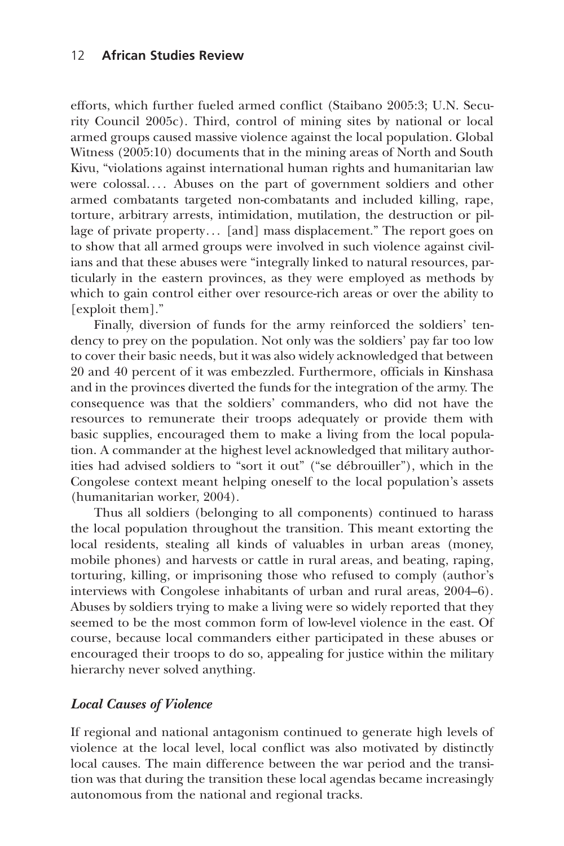efforts, which further fueled armed conflict (Staibano 2005:3; U.N. Security Council 2005c). Third, control of mining sites by national or local armed groups caused massive violence against the local population. Global Witness (2005:10) documents that in the mining areas of North and South Kivu, "violations against international human rights and humanitarian law were colossal.... Abuses on the part of government soldiers and other armed combatants targeted non-combatants and included killing, rape, torture, arbitrary arrests, intimidation, mutilation, the destruction or pillage of private property... [and] mass displacement." The report goes on to show that all armed groups were involved in such violence against civilians and that these abuses were "integrally linked to natural resources, particularly in the eastern provinces, as they were employed as methods by which to gain control either over resource-rich areas or over the ability to [exploit them]."

Finally, diversion of funds for the army reinforced the soldiers' tendency to prey on the population. Not only was the soldiers' pay far too low to cover their basic needs, but it was also widely acknowledged that between 20 and 40 percent of it was embezzled. Furthermore, officials in Kinshasa and in the provinces diverted the funds for the integration of the army. The consequence was that the soldiers' commanders, who did not have the resources to remunerate their troops adequately or provide them with basic supplies, encouraged them to make a living from the local population. A commander at the highest level acknowledged that military authorities had advised soldiers to "sort it out" ("se débrouiller"), which in the Congolese context meant helping oneself to the local population's assets (humanitarian worker, 2004).

Thus all soldiers (belonging to all components) continued to harass the local population throughout the transition. This meant extorting the local residents, stealing all kinds of valuables in urban areas (money, mobile phones) and harvests or cattle in rural areas, and beating, raping, torturing, killing, or imprisoning those who refused to comply (author's interviews with Congolese inhabitants of urban and rural areas, 2004–6). Abuses by soldiers trying to make a living were so widely reported that they seemed to be the most common form of low-level violence in the east. Of course, because local commanders either participated in these abuses or encouraged their troops to do so, appealing for justice within the military hierarchy never solved anything.

## *Local Causes of Violence*

If regional and national antagonism continued to generate high levels of violence at the local level, local conflict was also motivated by distinctly local causes. The main difference between the war period and the transition was that during the transition these local agendas became increasingly autonomous from the national and regional tracks.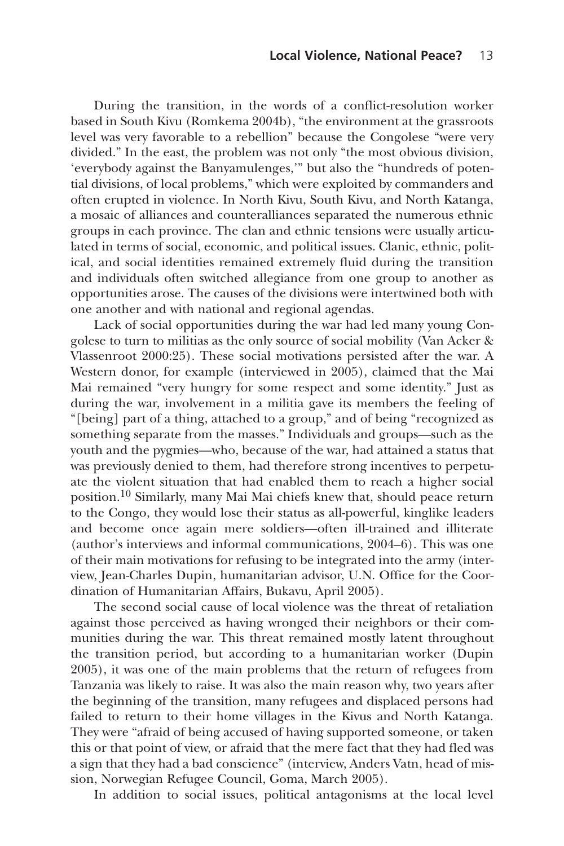During the transition, in the words of a conflict-resolution worker based in South Kivu (Romkema 2004b), "the environment at the grassroots level was very favorable to a rebellion" because the Congolese "were very divided." In the east, the problem was not only "the most obvious division, 'everybody against the Banyamulenges,'" but also the "hundreds of potential divisions, of local problems," which were exploited by commanders and often erupted in violence. In North Kivu, South Kivu, and North Katanga, a mosaic of alliances and counteralliances separated the numerous ethnic groups in each province. The clan and ethnic tensions were usually articulated in terms of social, economic, and political issues. Clanic, ethnic, political, and social identities remained extremely fluid during the transition and individuals often switched allegiance from one group to another as opportunities arose. The causes of the divisions were intertwined both with one another and with national and regional agendas.

Lack of social opportunities during the war had led many young Congolese to turn to militias as the only source of social mobility (Van Acker & Vlassenroot 2000:25). These social motivations persisted after the war. A Western donor, for example (interviewed in 2005), claimed that the Mai Mai remained "very hungry for some respect and some identity." Just as during the war, involvement in a militia gave its members the feeling of "[being] part of a thing, attached to a group," and of being "recognized as something separate from the masses." Individuals and groups—such as the youth and the pygmies—who, because of the war, had attained a status that was previously denied to them, had therefore strong incentives to perpetuate the violent situation that had enabled them to reach a higher social position.10 Similarly, many Mai Mai chiefs knew that, should peace return to the Congo, they would lose their status as all-powerful, kinglike leaders and become once again mere soldiers—often ill-trained and illiterate (author's interviews and informal communications, 2004–6). This was one of their main motivations for refusing to be integrated into the army (interview, Jean-Charles Dupin, humanitarian advisor, U.N. Office for the Coordination of Humanitarian Affairs, Bukavu, April 2005).

The second social cause of local violence was the threat of retaliation against those perceived as having wronged their neighbors or their communities during the war. This threat remained mostly latent throughout the transition period, but according to a humanitarian worker (Dupin 2005), it was one of the main problems that the return of refugees from Tanzania was likely to raise. It was also the main reason why, two years after the beginning of the transition, many refugees and displaced persons had failed to return to their home villages in the Kivus and North Katanga. They were "afraid of being accused of having supported someone, or taken this or that point of view, or afraid that the mere fact that they had fled was a sign that they had a bad conscience" (interview, Anders Vatn, head of mission, Norwegian Refugee Council, Goma, March 2005).

In addition to social issues, political antagonisms at the local level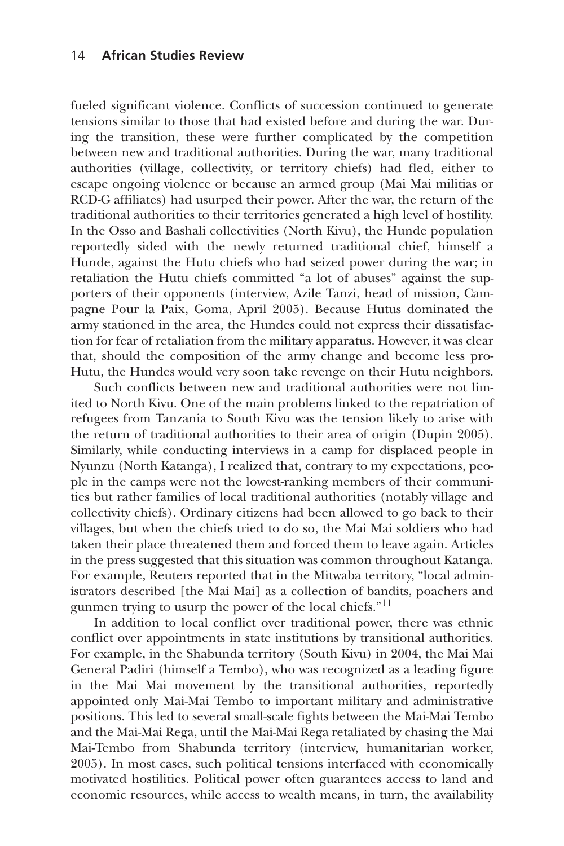fueled significant violence. Conflicts of succession continued to generate tensions similar to those that had existed before and during the war. During the transition, these were further complicated by the competition between new and traditional authorities. During the war, many traditional authorities (village, collectivity, or territory chiefs) had fled, either to escape ongoing violence or because an armed group (Mai Mai militias or RCD-G affiliates) had usurped their power. After the war, the return of the traditional authorities to their territories generated a high level of hostility. In the Osso and Bashali collectivities (North Kivu), the Hunde population reportedly sided with the newly returned traditional chief, himself a Hunde, against the Hutu chiefs who had seized power during the war; in retaliation the Hutu chiefs committed "a lot of abuses" against the supporters of their opponents (interview, Azile Tanzi, head of mission, Campagne Pour la Paix, Goma, April 2005). Because Hutus dominated the army stationed in the area, the Hundes could not express their dissatisfaction for fear of retaliation from the military apparatus. However, it was clear that, should the composition of the army change and become less pro-Hutu, the Hundes would very soon take revenge on their Hutu neighbors.

Such conflicts between new and traditional authorities were not limited to North Kivu. One of the main problems linked to the repatriation of refugees from Tanzania to South Kivu was the tension likely to arise with the return of traditional authorities to their area of origin (Dupin 2005). Similarly, while conducting interviews in a camp for displaced people in Nyunzu (North Katanga), I realized that, contrary to my expectations, people in the camps were not the lowest-ranking members of their communities but rather families of local traditional authorities (notably village and collectivity chiefs). Ordinary citizens had been allowed to go back to their villages, but when the chiefs tried to do so, the Mai Mai soldiers who had taken their place threatened them and forced them to leave again. Articles in the press suggested that this situation was common throughout Katanga. For example, Reuters reported that in the Mitwaba territory, "local administrators described [the Mai Mai] as a collection of bandits, poachers and gunmen trying to usurp the power of the local chiefs."11

In addition to local conflict over traditional power, there was ethnic conflict over appointments in state institutions by transitional authorities. For example, in the Shabunda territory (South Kivu) in 2004, the Mai Mai General Padiri (himself a Tembo), who was recognized as a leading figure in the Mai Mai movement by the transitional authorities, reportedly appointed only Mai-Mai Tembo to important military and administrative positions. This led to several small-scale fights between the Mai-Mai Tembo and the Mai-Mai Rega, until the Mai-Mai Rega retaliated by chasing the Mai Mai-Tembo from Shabunda territory (interview, humanitarian worker, 2005). In most cases, such political tensions interfaced with economically motivated hostilities. Political power often guarantees access to land and economic resources, while access to wealth means, in turn, the availability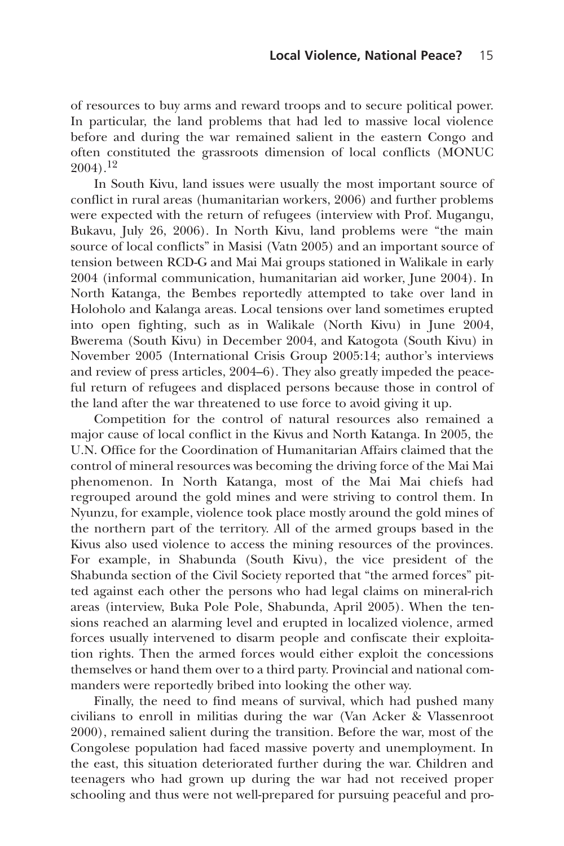of resources to buy arms and reward troops and to secure political power. In particular, the land problems that had led to massive local violence before and during the war remained salient in the eastern Congo and often constituted the grassroots dimension of local conflicts (MONUC  $2004$ ).<sup>12</sup>

In South Kivu, land issues were usually the most important source of conflict in rural areas (humanitarian workers, 2006) and further problems were expected with the return of refugees (interview with Prof. Mugangu, Bukavu, July 26, 2006). In North Kivu, land problems were "the main source of local conflicts" in Masisi (Vatn 2005) and an important source of tension between RCD-G and Mai Mai groups stationed in Walikale in early 2004 (informal communication, humanitarian aid worker, June 2004). In North Katanga, the Bembes reportedly attempted to take over land in Holoholo and Kalanga areas. Local tensions over land sometimes erupted into open fighting, such as in Walikale (North Kivu) in June 2004, Bwerema (South Kivu) in December 2004, and Katogota (South Kivu) in November 2005 (International Crisis Group 2005:14; author's interviews and review of press articles, 2004–6). They also greatly impeded the peaceful return of refugees and displaced persons because those in control of the land after the war threatened to use force to avoid giving it up.

Competition for the control of natural resources also remained a major cause of local conflict in the Kivus and North Katanga. In 2005, the U.N. Office for the Coordination of Humanitarian Affairs claimed that the control of mineral resources was becoming the driving force of the Mai Mai phenomenon. In North Katanga, most of the Mai Mai chiefs had regrouped around the gold mines and were striving to control them. In Nyunzu, for example, violence took place mostly around the gold mines of the northern part of the territory. All of the armed groups based in the Kivus also used violence to access the mining resources of the provinces. For example, in Shabunda (South Kivu), the vice president of the Shabunda section of the Civil Society reported that "the armed forces" pitted against each other the persons who had legal claims on mineral-rich areas (interview, Buka Pole Pole, Shabunda, April 2005). When the tensions reached an alarming level and erupted in localized violence, armed forces usually intervened to disarm people and confiscate their exploitation rights. Then the armed forces would either exploit the concessions themselves or hand them over to a third party. Provincial and national commanders were reportedly bribed into looking the other way.

Finally, the need to find means of survival, which had pushed many civilians to enroll in militias during the war (Van Acker & Vlassenroot 2000), remained salient during the transition. Before the war, most of the Congolese population had faced massive poverty and unemployment. In the east, this situation deteriorated further during the war. Children and teenagers who had grown up during the war had not received proper schooling and thus were not well-prepared for pursuing peaceful and pro-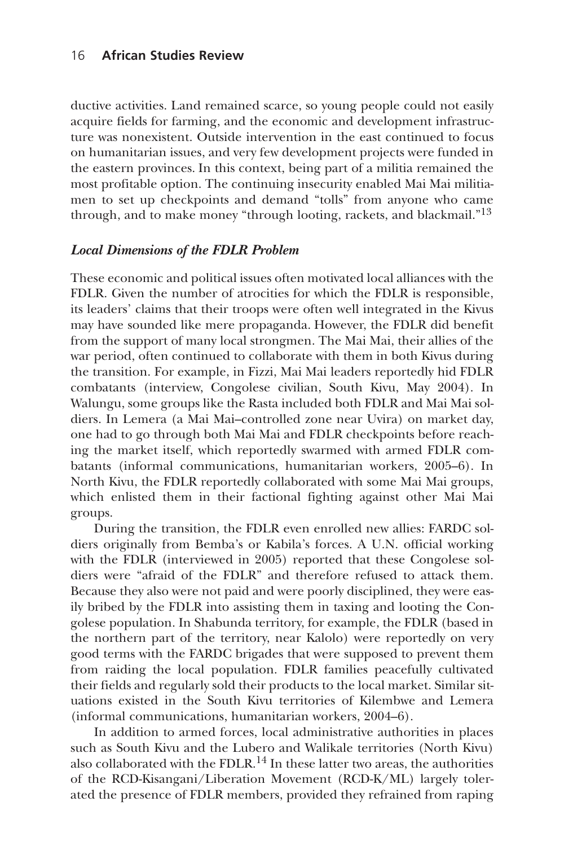ductive activities. Land remained scarce, so young people could not easily acquire fields for farming, and the economic and development infrastructure was nonexistent. Outside intervention in the east continued to focus on humanitarian issues, and very few development projects were funded in the eastern provinces. In this context, being part of a militia remained the most profitable option. The continuing insecurity enabled Mai Mai militiamen to set up checkpoints and demand "tolls" from anyone who came through, and to make money "through looting, rackets, and blackmail."<sup>13</sup>

#### *Local Dimensions of the FDLR Problem*

These economic and political issues often motivated local alliances with the FDLR. Given the number of atrocities for which the FDLR is responsible, its leaders' claims that their troops were often well integrated in the Kivus may have sounded like mere propaganda. However, the FDLR did benefit from the support of many local strongmen. The Mai Mai, their allies of the war period, often continued to collaborate with them in both Kivus during the transition. For example, in Fizzi, Mai Mai leaders reportedly hid FDLR combatants (interview, Congolese civilian, South Kivu, May 2004). In Walungu, some groups like the Rasta included both FDLR and Mai Mai soldiers. In Lemera (a Mai Mai–controlled zone near Uvira) on market day, one had to go through both Mai Mai and FDLR checkpoints before reaching the market itself, which reportedly swarmed with armed FDLR combatants (informal communications, humanitarian workers, 2005–6). In North Kivu, the FDLR reportedly collaborated with some Mai Mai groups, which enlisted them in their factional fighting against other Mai Mai groups.

During the transition, the FDLR even enrolled new allies: FARDC soldiers originally from Bemba's or Kabila's forces. A U.N. official working with the FDLR (interviewed in 2005) reported that these Congolese soldiers were "afraid of the FDLR" and therefore refused to attack them. Because they also were not paid and were poorly disciplined, they were easily bribed by the FDLR into assisting them in taxing and looting the Congolese population. In Shabunda territory, for example, the FDLR (based in the northern part of the territory, near Kalolo) were reportedly on very good terms with the FARDC brigades that were supposed to prevent them from raiding the local population. FDLR families peacefully cultivated their fields and regularly sold their products to the local market. Similar situations existed in the South Kivu territories of Kilembwe and Lemera (informal communications, humanitarian workers, 2004–6).

In addition to armed forces, local administrative authorities in places such as South Kivu and the Lubero and Walikale territories (North Kivu) also collaborated with the FDLR.<sup>14</sup> In these latter two areas, the authorities of the RCD-Kisangani/Liberation Movement (RCD-K/ML) largely tolerated the presence of FDLR members, provided they refrained from raping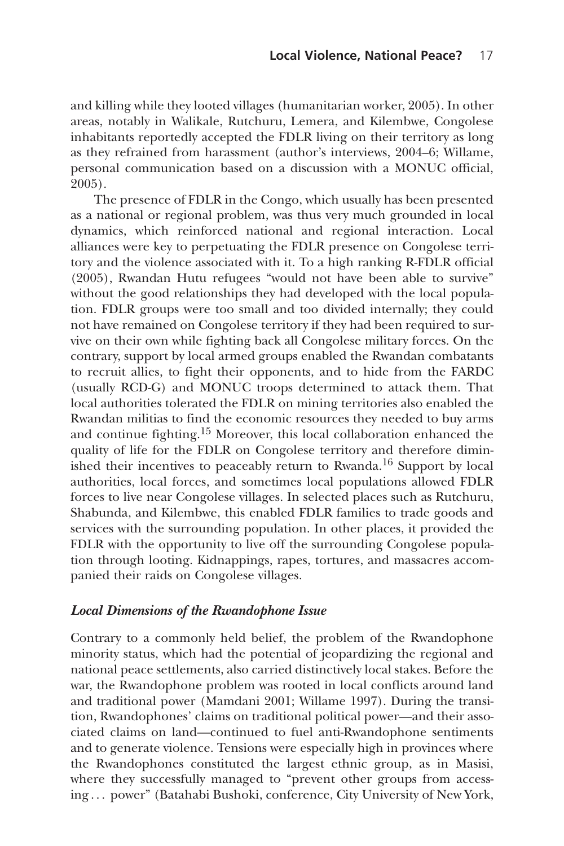and killing while they looted villages (humanitarian worker, 2005). In other areas, notably in Walikale, Rutchuru, Lemera, and Kilembwe, Congolese inhabitants reportedly accepted the FDLR living on their territory as long as they refrained from harassment (author's interviews, 2004–6; Willame, personal communication based on a discussion with a MONUC official, 2005).

The presence of FDLR in the Congo, which usually has been presented as a national or regional problem, was thus very much grounded in local dynamics, which reinforced national and regional interaction. Local alliances were key to perpetuating the FDLR presence on Congolese territory and the violence associated with it. To a high ranking R-FDLR official (2005), Rwandan Hutu refugees "would not have been able to survive" without the good relationships they had developed with the local population. FDLR groups were too small and too divided internally; they could not have remained on Congolese territory if they had been required to survive on their own while fighting back all Congolese military forces. On the contrary, support by local armed groups enabled the Rwandan combatants to recruit allies, to fight their opponents, and to hide from the FARDC (usually RCD-G) and MONUC troops determined to attack them. That local authorities tolerated the FDLR on mining territories also enabled the Rwandan militias to find the economic resources they needed to buy arms and continue fighting.<sup>15</sup> Moreover, this local collaboration enhanced the quality of life for the FDLR on Congolese territory and therefore diminished their incentives to peaceably return to Rwanda.16 Support by local authorities, local forces, and sometimes local populations allowed FDLR forces to live near Congolese villages. In selected places such as Rutchuru, Shabunda, and Kilembwe, this enabled FDLR families to trade goods and services with the surrounding population. In other places, it provided the FDLR with the opportunity to live off the surrounding Congolese population through looting. Kidnappings, rapes, tortures, and massacres accompanied their raids on Congolese villages.

#### *Local Dimensions of the Rwandophone Issue*

Contrary to a commonly held belief, the problem of the Rwandophone minority status, which had the potential of jeopardizing the regional and national peace settlements, also carried distinctively local stakes. Before the war, the Rwandophone problem was rooted in local conflicts around land and traditional power (Mamdani 2001; Willame 1997). During the transition, Rwandophones' claims on traditional political power—and their associated claims on land—continued to fuel anti-Rwandophone sentiments and to generate violence. Tensions were especially high in provinces where the Rwandophones constituted the largest ethnic group, as in Masisi, where they successfully managed to "prevent other groups from accessing . . . power" (Batahabi Bushoki, conference, City University of New York,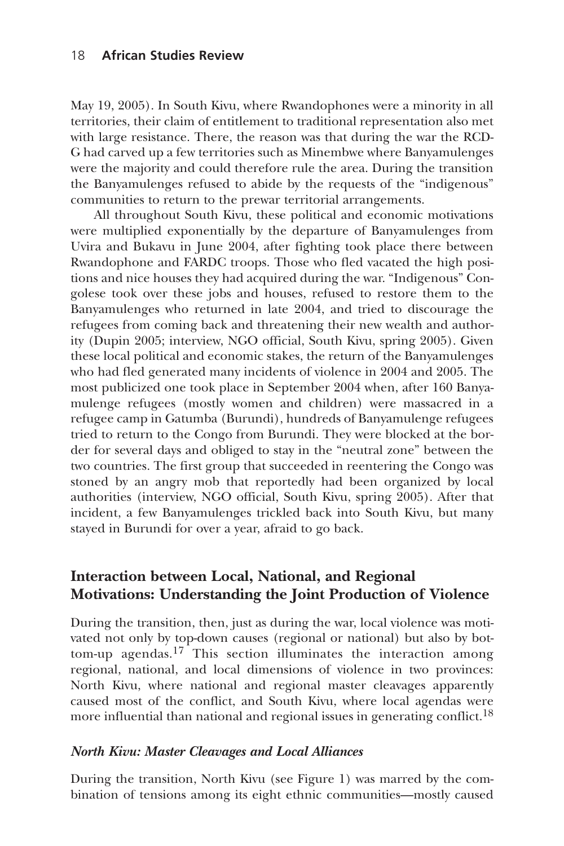May 19, 2005). In South Kivu, where Rwandophones were a minority in all territories, their claim of entitlement to traditional representation also met with large resistance. There, the reason was that during the war the RCD-G had carved up a few territories such as Minembwe where Banyamulenges were the majority and could therefore rule the area. During the transition the Banyamulenges refused to abide by the requests of the "indigenous" communities to return to the prewar territorial arrangements.

All throughout South Kivu, these political and economic motivations were multiplied exponentially by the departure of Banyamulenges from Uvira and Bukavu in June 2004, after fighting took place there between Rwandophone and FARDC troops. Those who fled vacated the high positions and nice houses they had acquired during the war. "Indigenous" Congolese took over these jobs and houses, refused to restore them to the Banyamulenges who returned in late 2004, and tried to discourage the refugees from coming back and threatening their new wealth and authority (Dupin 2005; interview, NGO official, South Kivu, spring 2005). Given these local political and economic stakes, the return of the Banyamulenges who had fled generated many incidents of violence in 2004 and 2005. The most publicized one took place in September 2004 when, after 160 Banyamulenge refugees (mostly women and children) were massacred in a refugee camp in Gatumba (Burundi), hundreds of Banyamulenge refugees tried to return to the Congo from Burundi. They were blocked at the border for several days and obliged to stay in the "neutral zone" between the two countries. The first group that succeeded in reentering the Congo was stoned by an angry mob that reportedly had been organized by local authorities (interview, NGO official, South Kivu, spring 2005). After that incident, a few Banyamulenges trickled back into South Kivu, but many stayed in Burundi for over a year, afraid to go back.

# **Interaction between Local, National, and Regional Motivations: Understanding the Joint Production of Violence**

During the transition, then, just as during the war, local violence was motivated not only by top-down causes (regional or national) but also by bottom-up agendas.<sup>17</sup> This section illuminates the interaction among regional, national, and local dimensions of violence in two provinces: North Kivu, where national and regional master cleavages apparently caused most of the conflict, and South Kivu, where local agendas were more influential than national and regional issues in generating conflict.<sup>18</sup>

#### *North Kivu: Master Cleavages and Local Alliances*

During the transition, North Kivu (see Figure 1) was marred by the combination of tensions among its eight ethnic communities—mostly caused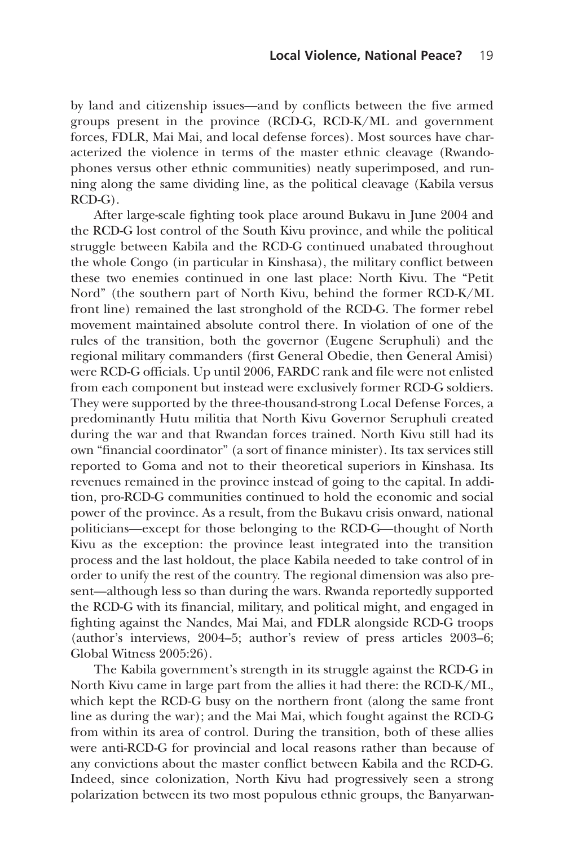by land and citizenship issues—and by conflicts between the five armed groups present in the province (RCD-G, RCD-K/ML and government forces, FDLR, Mai Mai, and local defense forces). Most sources have characterized the violence in terms of the master ethnic cleavage (Rwandophones versus other ethnic communities) neatly superimposed, and running along the same dividing line, as the political cleavage (Kabila versus RCD-G).

After large-scale fighting took place around Bukavu in June 2004 and the RCD-G lost control of the South Kivu province, and while the political struggle between Kabila and the RCD-G continued unabated throughout the whole Congo (in particular in Kinshasa), the military conflict between these two enemies continued in one last place: North Kivu. The "Petit Nord" (the southern part of North Kivu, behind the former RCD-K/ML front line) remained the last stronghold of the RCD-G. The former rebel movement maintained absolute control there. In violation of one of the rules of the transition, both the governor (Eugene Seruphuli) and the regional military commanders (first General Obedie, then General Amisi) were RCD-G officials. Up until 2006, FARDC rank and file were not enlisted from each component but instead were exclusively former RCD-G soldiers. They were supported by the three-thousand-strong Local Defense Forces, a predominantly Hutu militia that North Kivu Governor Seruphuli created during the war and that Rwandan forces trained. North Kivu still had its own "financial coordinator" (a sort of finance minister). Its tax services still reported to Goma and not to their theoretical superiors in Kinshasa. Its revenues remained in the province instead of going to the capital. In addition, pro-RCD-G communities continued to hold the economic and social power of the province. As a result, from the Bukavu crisis onward, national politicians—except for those belonging to the RCD-G—thought of North Kivu as the exception: the province least integrated into the transition process and the last holdout, the place Kabila needed to take control of in order to unify the rest of the country. The regional dimension was also present—although less so than during the wars. Rwanda reportedly supported the RCD-G with its financial, military, and political might, and engaged in fighting against the Nandes, Mai Mai, and FDLR alongside RCD-G troops (author's interviews, 2004–5; author's review of press articles 2003–6; Global Witness 2005:26).

The Kabila government's strength in its struggle against the RCD-G in North Kivu came in large part from the allies it had there: the RCD-K/ML, which kept the RCD-G busy on the northern front (along the same front line as during the war); and the Mai Mai, which fought against the RCD-G from within its area of control. During the transition, both of these allies were anti-RCD-G for provincial and local reasons rather than because of any convictions about the master conflict between Kabila and the RCD-G. Indeed, since colonization, North Kivu had progressively seen a strong polarization between its two most populous ethnic groups, the Banyarwan-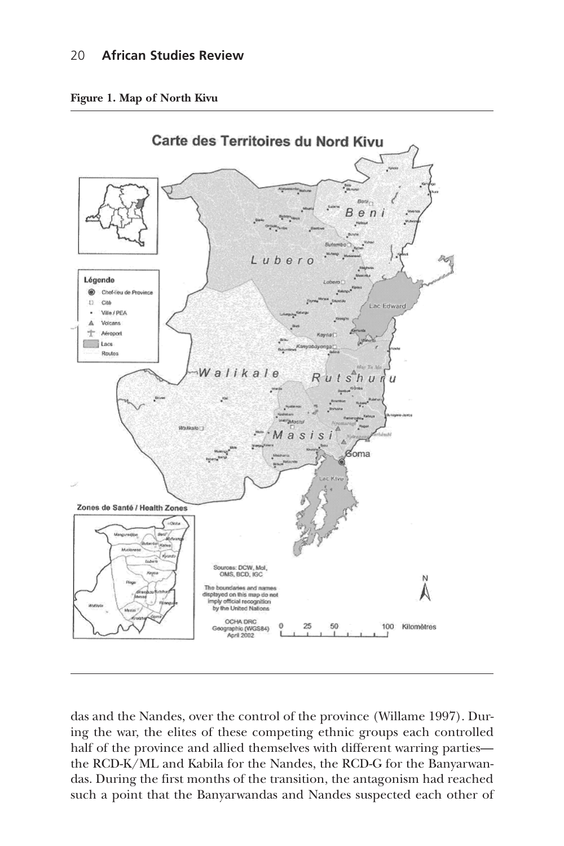



das and the Nandes, over the control of the province (Willame 1997). During the war, the elites of these competing ethnic groups each controlled half of the province and allied themselves with different warring parties the RCD-K/ML and Kabila for the Nandes, the RCD-G for the Banyarwandas. During the first months of the transition, the antagonism had reached such a point that the Banyarwandas and Nandes suspected each other of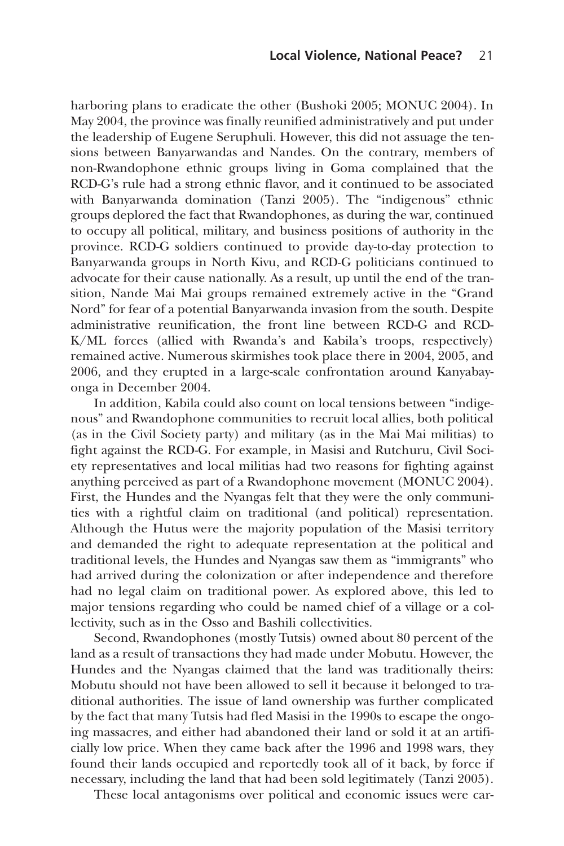harboring plans to eradicate the other (Bushoki 2005; MONUC 2004). In May 2004, the province was finally reunified administratively and put under the leadership of Eugene Seruphuli. However, this did not assuage the tensions between Banyarwandas and Nandes. On the contrary, members of non-Rwandophone ethnic groups living in Goma complained that the RCD-G's rule had a strong ethnic flavor, and it continued to be associated with Banyarwanda domination (Tanzi 2005). The "indigenous" ethnic groups deplored the fact that Rwandophones, as during the war, continued to occupy all political, military, and business positions of authority in the province. RCD-G soldiers continued to provide day-to-day protection to Banyarwanda groups in North Kivu, and RCD-G politicians continued to advocate for their cause nationally. As a result, up until the end of the transition, Nande Mai Mai groups remained extremely active in the "Grand Nord" for fear of a potential Banyarwanda invasion from the south. Despite administrative reunification, the front line between RCD-G and RCD-K/ML forces (allied with Rwanda's and Kabila's troops, respectively) remained active. Numerous skirmishes took place there in 2004, 2005, and 2006, and they erupted in a large-scale confrontation around Kanyabayonga in December 2004.

In addition, Kabila could also count on local tensions between "indigenous" and Rwandophone communities to recruit local allies, both political (as in the Civil Society party) and military (as in the Mai Mai militias) to fight against the RCD-G. For example, in Masisi and Rutchuru, Civil Society representatives and local militias had two reasons for fighting against anything perceived as part of a Rwandophone movement (MONUC 2004). First, the Hundes and the Nyangas felt that they were the only communities with a rightful claim on traditional (and political) representation. Although the Hutus were the majority population of the Masisi territory and demanded the right to adequate representation at the political and traditional levels, the Hundes and Nyangas saw them as "immigrants" who had arrived during the colonization or after independence and therefore had no legal claim on traditional power. As explored above, this led to major tensions regarding who could be named chief of a village or a collectivity, such as in the Osso and Bashili collectivities.

Second, Rwandophones (mostly Tutsis) owned about 80 percent of the land as a result of transactions they had made under Mobutu. However, the Hundes and the Nyangas claimed that the land was traditionally theirs: Mobutu should not have been allowed to sell it because it belonged to traditional authorities. The issue of land ownership was further complicated by the fact that many Tutsis had fled Masisi in the 1990s to escape the ongoing massacres, and either had abandoned their land or sold it at an artificially low price. When they came back after the 1996 and 1998 wars, they found their lands occupied and reportedly took all of it back, by force if necessary, including the land that had been sold legitimately (Tanzi 2005).

These local antagonisms over political and economic issues were car-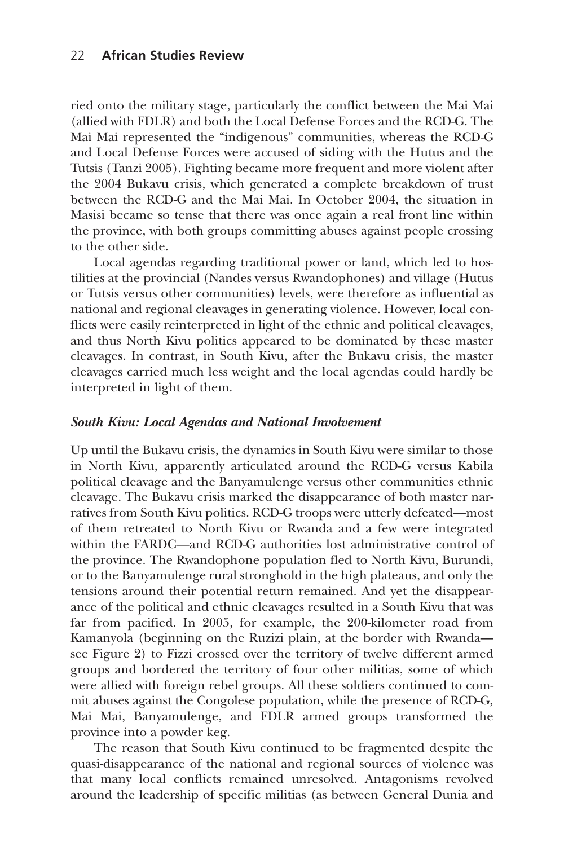ried onto the military stage, particularly the conflict between the Mai Mai (allied with FDLR) and both the Local Defense Forces and the RCD-G. The Mai Mai represented the "indigenous" communities, whereas the RCD-G and Local Defense Forces were accused of siding with the Hutus and the Tutsis (Tanzi 2005). Fighting became more frequent and more violent after the 2004 Bukavu crisis, which generated a complete breakdown of trust between the RCD-G and the Mai Mai. In October 2004, the situation in Masisi became so tense that there was once again a real front line within the province, with both groups committing abuses against people crossing to the other side.

Local agendas regarding traditional power or land, which led to hostilities at the provincial (Nandes versus Rwandophones) and village (Hutus or Tutsis versus other communities) levels, were therefore as influential as national and regional cleavages in generating violence. However, local conflicts were easily reinterpreted in light of the ethnic and political cleavages, and thus North Kivu politics appeared to be dominated by these master cleavages. In contrast, in South Kivu, after the Bukavu crisis, the master cleavages carried much less weight and the local agendas could hardly be interpreted in light of them.

## *South Kivu: Local Agendas and National Involvement*

Up until the Bukavu crisis, the dynamics in South Kivu were similar to those in North Kivu, apparently articulated around the RCD-G versus Kabila political cleavage and the Banyamulenge versus other communities ethnic cleavage. The Bukavu crisis marked the disappearance of both master narratives from South Kivu politics. RCD-G troops were utterly defeated—most of them retreated to North Kivu or Rwanda and a few were integrated within the FARDC—and RCD-G authorities lost administrative control of the province. The Rwandophone population fled to North Kivu, Burundi, or to the Banyamulenge rural stronghold in the high plateaus, and only the tensions around their potential return remained. And yet the disappearance of the political and ethnic cleavages resulted in a South Kivu that was far from pacified. In 2005, for example, the 200-kilometer road from Kamanyola (beginning on the Ruzizi plain, at the border with Rwanda see Figure 2) to Fizzi crossed over the territory of twelve different armed groups and bordered the territory of four other militias, some of which were allied with foreign rebel groups. All these soldiers continued to commit abuses against the Congolese population, while the presence of RCD-G, Mai Mai, Banyamulenge, and FDLR armed groups transformed the province into a powder keg.

The reason that South Kivu continued to be fragmented despite the quasi-disappearance of the national and regional sources of violence was that many local conflicts remained unresolved. Antagonisms revolved around the leadership of specific militias (as between General Dunia and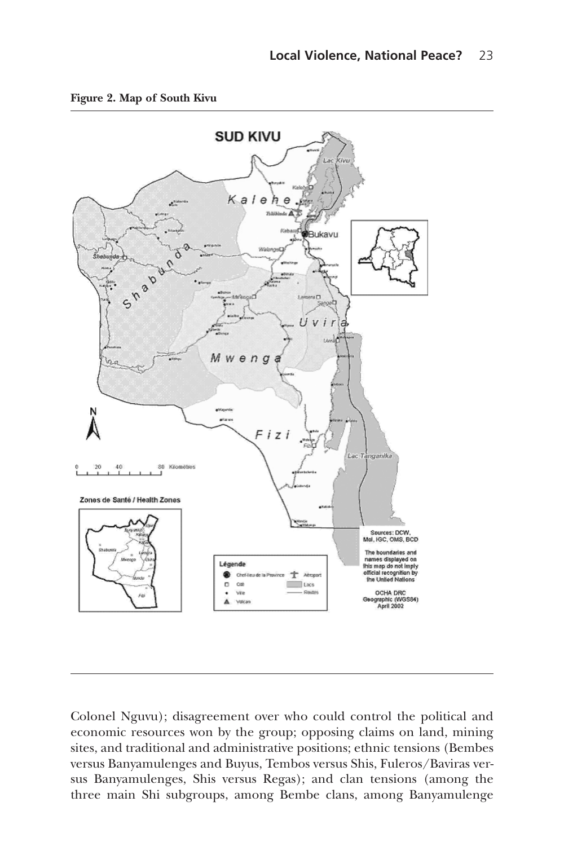



Colonel Nguvu); disagreement over who could control the political and economic resources won by the group; opposing claims on land, mining sites, and traditional and administrative positions; ethnic tensions (Bembes versus Banyamulenges and Buyus, Tembos versus Shis, Fuleros/Baviras versus Banyamulenges, Shis versus Regas); and clan tensions (among the three main Shi subgroups, among Bembe clans, among Banyamulenge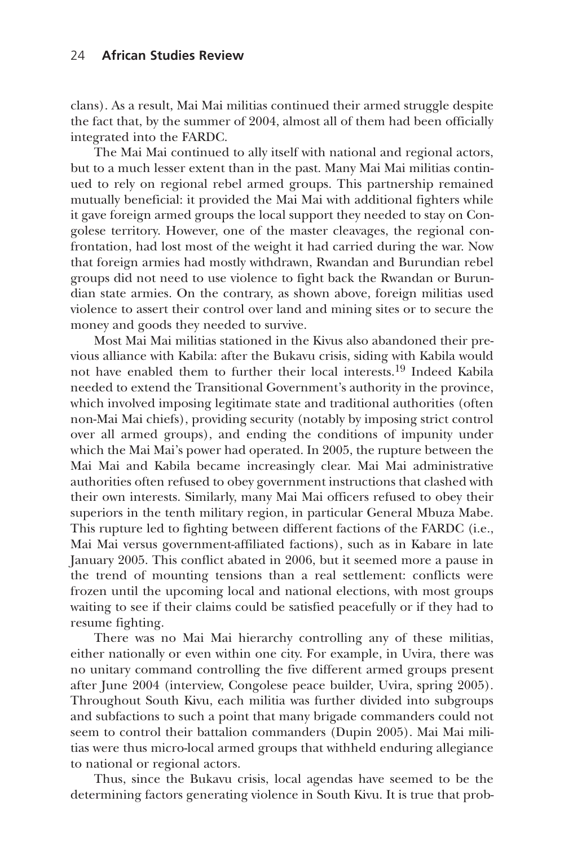clans). As a result, Mai Mai militias continued their armed struggle despite the fact that, by the summer of 2004, almost all of them had been officially integrated into the FARDC.

The Mai Mai continued to ally itself with national and regional actors, but to a much lesser extent than in the past. Many Mai Mai militias continued to rely on regional rebel armed groups. This partnership remained mutually beneficial: it provided the Mai Mai with additional fighters while it gave foreign armed groups the local support they needed to stay on Congolese territory. However, one of the master cleavages, the regional confrontation, had lost most of the weight it had carried during the war. Now that foreign armies had mostly withdrawn, Rwandan and Burundian rebel groups did not need to use violence to fight back the Rwandan or Burundian state armies. On the contrary, as shown above, foreign militias used violence to assert their control over land and mining sites or to secure the money and goods they needed to survive.

Most Mai Mai militias stationed in the Kivus also abandoned their previous alliance with Kabila: after the Bukavu crisis, siding with Kabila would not have enabled them to further their local interests.19 Indeed Kabila needed to extend the Transitional Government's authority in the province, which involved imposing legitimate state and traditional authorities (often non-Mai Mai chiefs), providing security (notably by imposing strict control over all armed groups), and ending the conditions of impunity under which the Mai Mai's power had operated. In 2005, the rupture between the Mai Mai and Kabila became increasingly clear. Mai Mai administrative authorities often refused to obey government instructions that clashed with their own interests. Similarly, many Mai Mai officers refused to obey their superiors in the tenth military region, in particular General Mbuza Mabe. This rupture led to fighting between different factions of the FARDC (i.e., Mai Mai versus government-affiliated factions), such as in Kabare in late January 2005. This conflict abated in 2006, but it seemed more a pause in the trend of mounting tensions than a real settlement: conflicts were frozen until the upcoming local and national elections, with most groups waiting to see if their claims could be satisfied peacefully or if they had to resume fighting.

There was no Mai Mai hierarchy controlling any of these militias, either nationally or even within one city. For example, in Uvira, there was no unitary command controlling the five different armed groups present after June 2004 (interview, Congolese peace builder, Uvira, spring 2005). Throughout South Kivu, each militia was further divided into subgroups and subfactions to such a point that many brigade commanders could not seem to control their battalion commanders (Dupin 2005). Mai Mai militias were thus micro-local armed groups that withheld enduring allegiance to national or regional actors.

Thus, since the Bukavu crisis, local agendas have seemed to be the determining factors generating violence in South Kivu. It is true that prob-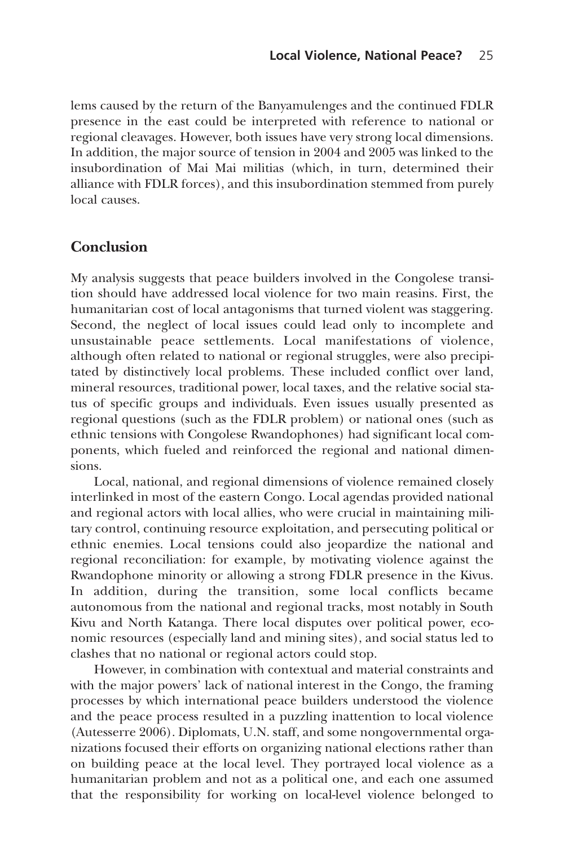lems caused by the return of the Banyamulenges and the continued FDLR presence in the east could be interpreted with reference to national or regional cleavages. However, both issues have very strong local dimensions. In addition, the major source of tension in 2004 and 2005 was linked to the insubordination of Mai Mai militias (which, in turn, determined their alliance with FDLR forces), and this insubordination stemmed from purely local causes.

# **Conclusion**

My analysis suggests that peace builders involved in the Congolese transition should have addressed local violence for two main reasins. First, the humanitarian cost of local antagonisms that turned violent was staggering. Second, the neglect of local issues could lead only to incomplete and unsustainable peace settlements. Local manifestations of violence, although often related to national or regional struggles, were also precipitated by distinctively local problems. These included conflict over land, mineral resources, traditional power, local taxes, and the relative social status of specific groups and individuals. Even issues usually presented as regional questions (such as the FDLR problem) or national ones (such as ethnic tensions with Congolese Rwandophones) had significant local components, which fueled and reinforced the regional and national dimensions.

Local, national, and regional dimensions of violence remained closely interlinked in most of the eastern Congo. Local agendas provided national and regional actors with local allies, who were crucial in maintaining military control, continuing resource exploitation, and persecuting political or ethnic enemies. Local tensions could also jeopardize the national and regional reconciliation: for example, by motivating violence against the Rwandophone minority or allowing a strong FDLR presence in the Kivus. In addition, during the transition, some local conflicts became autonomous from the national and regional tracks, most notably in South Kivu and North Katanga. There local disputes over political power, economic resources (especially land and mining sites), and social status led to clashes that no national or regional actors could stop.

However, in combination with contextual and material constraints and with the major powers' lack of national interest in the Congo, the framing processes by which international peace builders understood the violence and the peace process resulted in a puzzling inattention to local violence (Autesserre 2006). Diplomats, U.N. staff, and some nongovernmental organizations focused their efforts on organizing national elections rather than on building peace at the local level. They portrayed local violence as a humanitarian problem and not as a political one, and each one assumed that the responsibility for working on local-level violence belonged to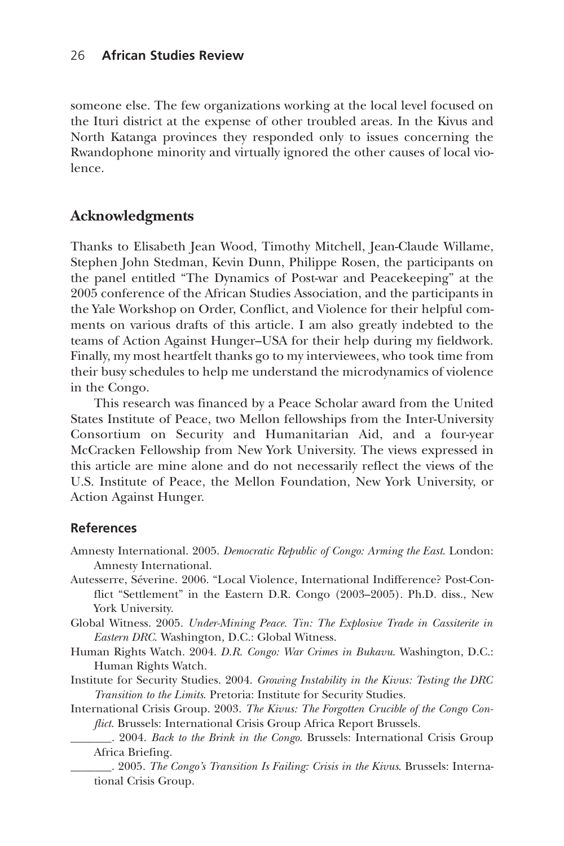someone else. The few organizations working at the local level focused on the Ituri district at the expense of other troubled areas. In the Kivus and North Katanga provinces they responded only to issues concerning the Rwandophone minority and virtually ignored the other causes of local violence.

# **Acknowledgments**

Thanks to Elisabeth Jean Wood, Timothy Mitchell, Jean-Claude Willame, Stephen John Stedman, Kevin Dunn, Philippe Rosen, the participants on the panel entitled "The Dynamics of Post-war and Peacekeeping" at the 2005 conference of the African Studies Association, and the participants in the Yale Workshop on Order, Conflict, and Violence for their helpful comments on various drafts of this article. I am also greatly indebted to the teams of Action Against Hunger–USA for their help during my fieldwork. Finally, my most heartfelt thanks go to my interviewees, who took time from their busy schedules to help me understand the microdynamics of violence in the Congo.

This research was financed by a Peace Scholar award from the United States Institute of Peace, two Mellon fellowships from the Inter-University Consortium on Security and Humanitarian Aid, and a four-year McCracken Fellowship from New York University. The views expressed in this article are mine alone and do not necessarily reflect the views of the U.S. Institute of Peace, the Mellon Foundation, New York University, or Action Against Hunger.

#### **References**

- Amnesty International. 2005. *Democratic Republic of Congo: Arming the East*. London: Amnesty International.
- Autesserre, Séverine. 2006. "Local Violence, International Indifference? Post-Conflict "Settlement" in the Eastern D.R. Congo (2003–2005). Ph.D. diss., New York University.
- Global Witness. 2005. *Under-Mining Peace. Tin: The Explosive Trade in Cassiterite in Eastern DRC*. Washington, D.C.: Global Witness.
- Human Rights Watch. 2004. *D.R. Congo: War Crimes in Bukavu*. Washington, D.C.: Human Rights Watch.
- Institute for Security Studies. 2004. *Growing Instability in the Kivus: Testing the DRC Transition to the Limits*. Pretoria: Institute for Security Studies.
- International Crisis Group. 2003. *The Kivus: The Forgotten Crucible of the Congo Conflict*. Brussels: International Crisis Group Africa Report Brussels.
	- \_\_\_\_\_\_\_. 2004. *Back to the Brink in the Congo*. Brussels: International Crisis Group Africa Briefing.
	- \_\_\_\_\_\_\_. 2005. *The Congo's Transition Is Failing: Crisis in the Kivus*. Brussels: International Crisis Group.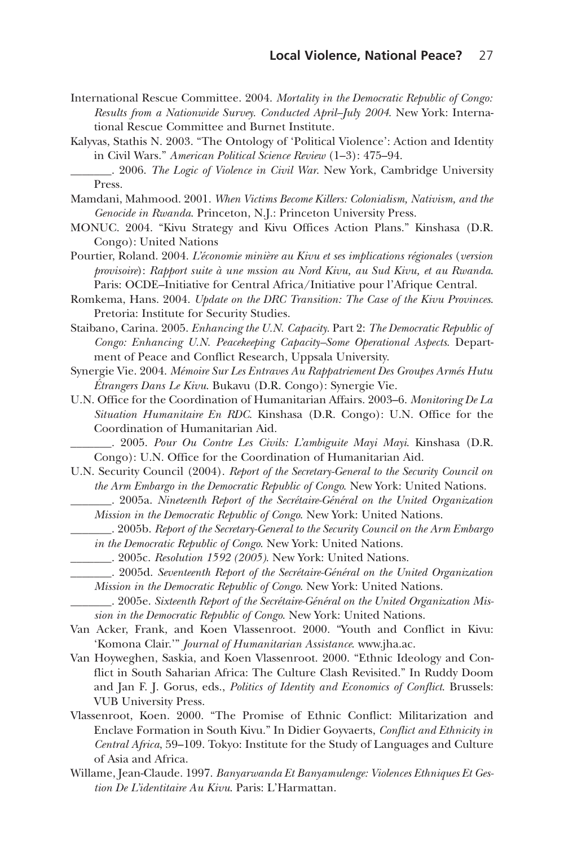- International Rescue Committee. 2004. *Mortality in the Democratic Republic of Congo: Results from a Nationwide Survey. Conducted April–July 2004*. New York: International Rescue Committee and Burnet Institute.
- Kalyvas, Stathis N. 2003. "The Ontology of 'Political Violence': Action and Identity in Civil Wars." *American Political Science Review* (1–3): 475–94.
	- \_\_\_\_\_\_\_. 2006. *The Logic of Violence in Civil War*. New York, Cambridge University Press.
- Mamdani, Mahmood. 2001. *When Victims Become Killers: Colonialism, Nativism, and the Genocide in Rwanda*. Princeton, N.J.: Princeton University Press.
- MONUC. 2004. "Kivu Strategy and Kivu Offices Action Plans." Kinshasa (D.R. Congo): United Nations
- Pourtier, Roland. 2004. *L'économie minière au Kivu et ses implications régionales (version provisoire*): *Rapport suite à une mssion au Nord Kivu, au Sud Kivu, et au Rwanda*. Paris: OCDE–Initiative for Central Africa/Initiative pour l'Afrique Central.
- Romkema, Hans. 2004. *Update on the DRC Transition: The Case of the Kivu Provinces*. Pretoria: Institute for Security Studies.
- Staibano, Carina. 2005. *Enhancing the U.N. Capacity.* Part 2: *The Democratic Republic of Congo: Enhancing U.N. Peacekeeping Capacity–Some Operational Aspects*. Department of Peace and Conflict Research, Uppsala University.
- Synergie Vie. 2004. *Mémoire Sur Les Entraves Au Rappatriement Des Groupes Armés Hutu Étrangers Dans Le Kivu*. Bukavu (D.R. Congo): Synergie Vie.
- U.N. Office for the Coordination of Humanitarian Affairs. 2003–6. *Monitoring De La Situation Humanitaire En RDC*. Kinshasa (D.R. Congo): U.N. Office for the Coordination of Humanitarian Aid.
	- \_\_\_\_\_\_\_. 2005. *Pour Ou Contre Les Civils: L'ambiguite Mayi Mayi*. Kinshasa (D.R. Congo): U.N. Office for the Coordination of Humanitarian Aid.
- U.N. Security Council (2004). *Report of the Secretary-General to the Security Council on the Arm Embargo in the Democratic Republic of Congo*. New York: United Nations.
	- \_\_\_\_\_\_\_. 2005a. *Nineteenth Report of the Secrétaire-Général on the United Organization Mission in the Democratic Republic of Congo*. New York: United Nations.
- \_\_\_\_\_\_\_. 2005b. *Report of the Secretary-General to the Security Council on the Arm Embargo in the Democratic Republic of Congo*. New York: United Nations.
	- \_\_\_\_\_\_\_. 2005c. *Resolution 1592 (2005)*. New York: United Nations.
	- \_\_\_\_\_\_\_. 2005d. *Seventeenth Report of the Secrétaire-Général on the United Organization Mission in the Democratic Republic of Congo*. New York: United Nations.
- \_\_\_\_\_\_\_. 2005e. *Sixteenth Report of the Secrétaire-Général on the United Organization Mission in the Democratic Republic of Congo*. New York: United Nations.
- Van Acker, Frank, and Koen Vlassenroot. 2000. "Youth and Conflict in Kivu: 'Komona Clair.'" *Journal of Humanitarian Assistance*. www.jha.ac.
- Van Hoyweghen, Saskia, and Koen Vlassenroot. 2000. "Ethnic Ideology and Conflict in South Saharian Africa: The Culture Clash Revisited." In Ruddy Doom and Jan F. J. Gorus, eds., *Politics of Identity and Economics of Conflict*. Brussels: VUB University Press.
- Vlassenroot, Koen. 2000. "The Promise of Ethnic Conflict: Militarization and Enclave Formation in South Kivu." In Didier Goyvaerts, *Conflict and Ethnicity in Central Africa*, 59–109. Tokyo: Institute for the Study of Languages and Culture of Asia and Africa.
- Willame, Jean-Claude. 1997. *Banyarwanda Et Banyamulenge: Violences Ethniques Et Gestion De L'identitaire Au Kivu*. Paris: L'Harmattan.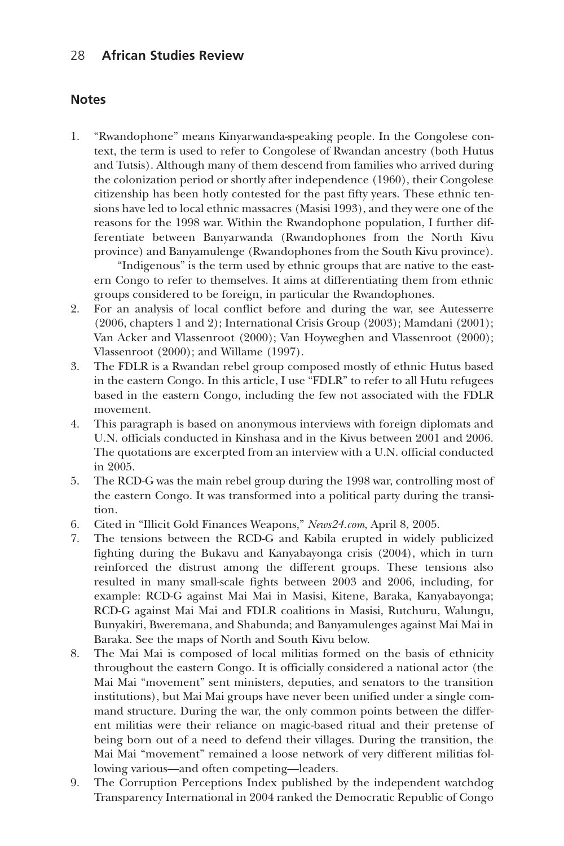#### **Notes**

1. "Rwandophone" means Kinyarwanda-speaking people. In the Congolese context, the term is used to refer to Congolese of Rwandan ancestry (both Hutus and Tutsis). Although many of them descend from families who arrived during the colonization period or shortly after independence (1960), their Congolese citizenship has been hotly contested for the past fifty years. These ethnic tensions have led to local ethnic massacres (Masisi 1993), and they were one of the reasons for the 1998 war. Within the Rwandophone population, I further differentiate between Banyarwanda (Rwandophones from the North Kivu province) and Banyamulenge (Rwandophones from the South Kivu province).

"Indigenous" is the term used by ethnic groups that are native to the eastern Congo to refer to themselves. It aims at differentiating them from ethnic groups considered to be foreign, in particular the Rwandophones.

- 2. For an analysis of local conflict before and during the war, see Autesserre (2006, chapters 1 and 2); International Crisis Group (2003); Mamdani (2001); Van Acker and Vlassenroot (2000); Van Hoyweghen and Vlassenroot (2000); Vlassenroot (2000); and Willame (1997).
- 3. The FDLR is a Rwandan rebel group composed mostly of ethnic Hutus based in the eastern Congo. In this article, I use "FDLR" to refer to all Hutu refugees based in the eastern Congo, including the few not associated with the FDLR movement.
- 4. This paragraph is based on anonymous interviews with foreign diplomats and U.N. officials conducted in Kinshasa and in the Kivus between 2001 and 2006. The quotations are excerpted from an interview with a U.N. official conducted in 2005.
- 5. The RCD-G was the main rebel group during the 1998 war, controlling most of the eastern Congo. It was transformed into a political party during the transition.
- 6. Cited in "Illicit Gold Finances Weapons," *News24.com*, April 8, 2005.
- 7. The tensions between the RCD-G and Kabila erupted in widely publicized fighting during the Bukavu and Kanyabayonga crisis (2004), which in turn reinforced the distrust among the different groups. These tensions also resulted in many small-scale fights between 2003 and 2006, including, for example: RCD-G against Mai Mai in Masisi, Kitene, Baraka, Kanyabayonga; RCD-G against Mai Mai and FDLR coalitions in Masisi, Rutchuru, Walungu, Bunyakiri, Bweremana, and Shabunda; and Banyamulenges against Mai Mai in Baraka. See the maps of North and South Kivu below.
- 8. The Mai Mai is composed of local militias formed on the basis of ethnicity throughout the eastern Congo. It is officially considered a national actor (the Mai Mai "movement" sent ministers, deputies, and senators to the transition institutions), but Mai Mai groups have never been unified under a single command structure. During the war, the only common points between the different militias were their reliance on magic-based ritual and their pretense of being born out of a need to defend their villages. During the transition, the Mai Mai "movement" remained a loose network of very different militias following various—and often competing—leaders.
- 9. The Corruption Perceptions Index published by the independent watchdog Transparency International in 2004 ranked the Democratic Republic of Congo